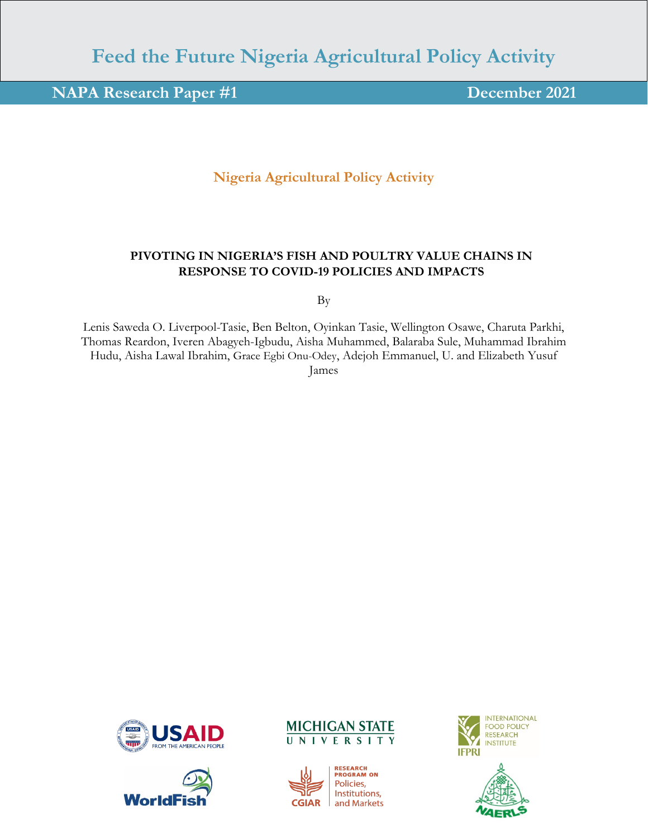# **Feed the Future Nigeria Agricultural Policy Activity**

## **NAPA Research Paper #1 December 2021**

### **Nigeria Agricultural Policy Activity**

#### **PIVOTING IN NIGERIA'S FISH AND POULTRY VALUE CHAINS IN RESPONSE TO COVID-19 POLICIES AND IMPACTS**

By

Lenis Saweda O. Liverpool-Tasie, Ben Belton, Oyinkan Tasie, Wellington Osawe, Charuta Parkhi, Thomas Reardon, Iveren Abagyeh-Igbudu, Aisha Muhammed, Balaraba Sule, Muhammad Ibrahim Hudu, Aisha Lawal Ibrahim, Grace Egbi Onu-Odey, Adejoh Emmanuel, U. and Elizabeth Yusuf James









**RESEARCH<br>PROGRAM ON** Policies, Institutions, and Markets

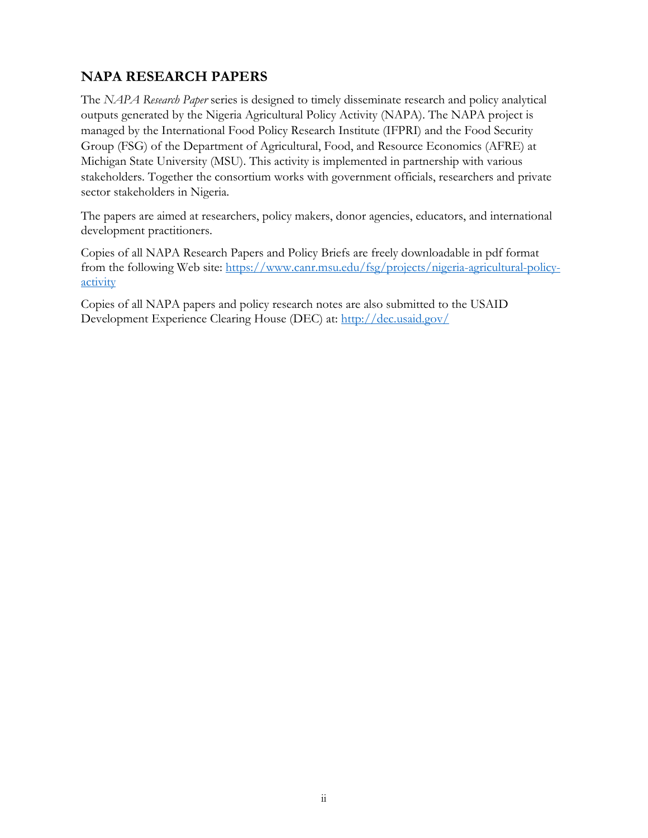## <span id="page-1-0"></span>**NAPA RESEARCH PAPERS**

The *NAPA Research Paper* series is designed to timely disseminate research and policy analytical outputs generated by the Nigeria Agricultural Policy Activity (NAPA). The NAPA project is managed by the International Food Policy Research Institute (IFPRI) and the Food Security Group (FSG) of the Department of Agricultural, Food, and Resource Economics (AFRE) at Michigan State University (MSU). This activity is implemented in partnership with various stakeholders. Together the consortium works with government officials, researchers and private sector stakeholders in Nigeria.

The papers are aimed at researchers, policy makers, donor agencies, educators, and international development practitioners.

Copies of all NAPA Research Papers and Policy Briefs are freely downloadable in pdf format from the following Web site: [https://www.canr.msu.edu/fsg/projects/nigeria-agricultural-policy](https://www.canr.msu.edu/fsg/projects/nigeria-agricultural-policy-activity)[activity](https://www.canr.msu.edu/fsg/projects/nigeria-agricultural-policy-activity)

Copies of all NAPA papers and policy research notes are also submitted to the USAID Development Experience Clearing House (DEC) at:<http://dec.usaid.gov/>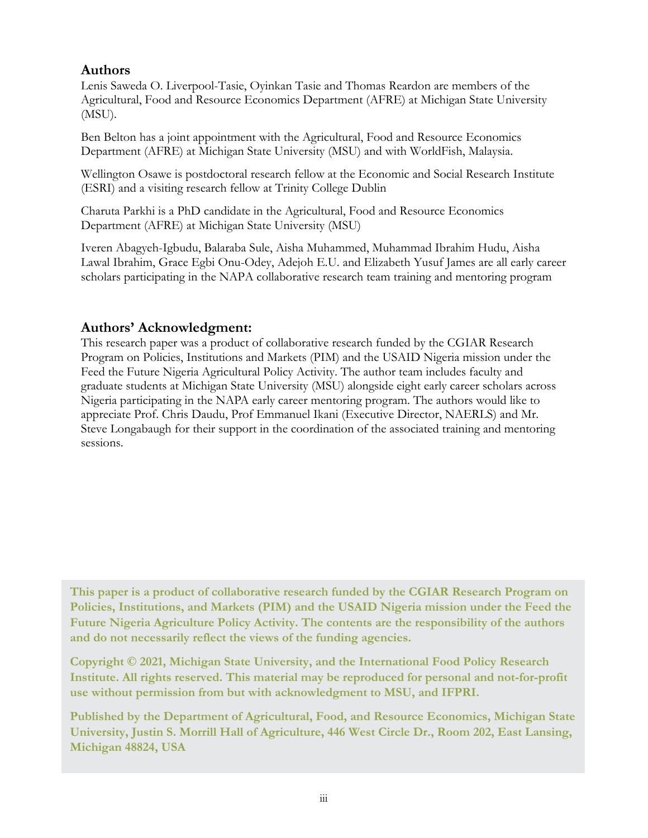### <span id="page-2-0"></span>**Authors**

Lenis Saweda O. Liverpool-Tasie, Oyinkan Tasie and Thomas Reardon are members of the Agricultural, Food and Resource Economics Department (AFRE) at Michigan State University (MSU).

Ben Belton has a joint appointment with the Agricultural, Food and Resource Economics Department (AFRE) at Michigan State University (MSU) and with WorldFish, Malaysia.

Wellington Osawe is postdoctoral research fellow at the Economic and Social Research Institute (ESRI) and a visiting research fellow at Trinity College Dublin

Charuta Parkhi is a PhD candidate in the Agricultural, Food and Resource Economics Department (AFRE) at Michigan State University (MSU)

Iveren Abagyeh-Igbudu, Balaraba Sule, Aisha Muhammed, Muhammad Ibrahim Hudu, Aisha Lawal Ibrahim, Grace Egbi Onu-Odey, Adejoh E.U. and Elizabeth Yusuf James are all early career scholars participating in the NAPA collaborative research team training and mentoring program

### <span id="page-2-1"></span>**Authors' Acknowledgment:**

This research paper was a product of collaborative research funded by the CGIAR Research Program on Policies, Institutions and Markets (PIM) and the USAID Nigeria mission under the Feed the Future Nigeria Agricultural Policy Activity. The author team includes faculty and graduate students at Michigan State University (MSU) alongside eight early career scholars across Nigeria participating in the NAPA early career mentoring program. The authors would like to appreciate Prof. Chris Daudu, Prof Emmanuel Ikani (Executive Director, NAERLS) and Mr. Steve Longabaugh for their support in the coordination of the associated training and mentoring sessions.

**This paper is a product of collaborative research funded by the CGIAR Research Program on Policies, Institutions, and Markets (PIM) and the USAID Nigeria mission under the Feed the Future Nigeria Agriculture Policy Activity. The contents are the responsibility of the authors and do not necessarily reflect the views of the funding agencies.** 

**Copyright © 2021, Michigan State University, and the International Food Policy Research Institute. All rights reserved. This material may be reproduced for personal and not-for-profit use without permission from but with acknowledgment to MSU, and IFPRI.** 

**Published by the Department of Agricultural, Food, and Resource Economics, Michigan State University, Justin S. Morrill Hall of Agriculture, 446 West Circle Dr., Room 202, East Lansing, Michigan 48824, USA**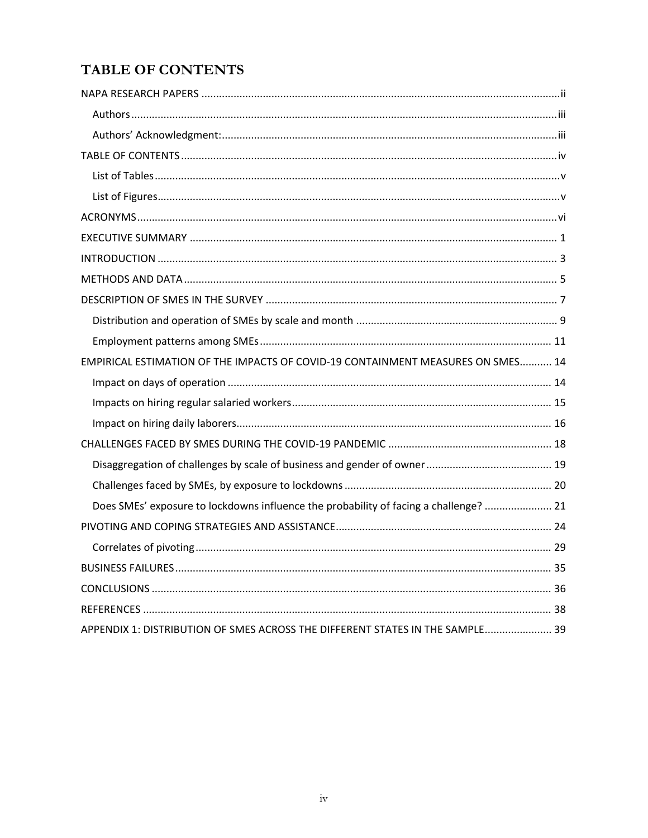## <span id="page-3-0"></span>**TABLE OF CONTENTS**

| EMPIRICAL ESTIMATION OF THE IMPACTS OF COVID-19 CONTAINMENT MEASURES ON SMES 14       |
|---------------------------------------------------------------------------------------|
|                                                                                       |
|                                                                                       |
|                                                                                       |
|                                                                                       |
|                                                                                       |
|                                                                                       |
| Does SMEs' exposure to lockdowns influence the probability of facing a challenge?  21 |
|                                                                                       |
|                                                                                       |
|                                                                                       |
|                                                                                       |
|                                                                                       |
| APPENDIX 1: DISTRIBUTION OF SMES ACROSS THE DIFFERENT STATES IN THE SAMPLE 39         |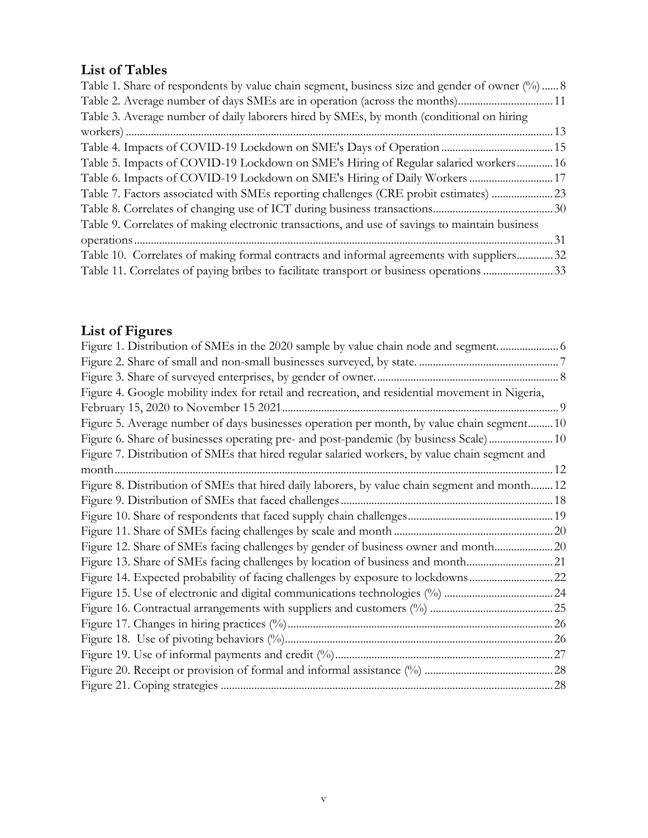## <span id="page-4-0"></span>**List of Tables**

| Table 1. Share of respondents by value chain segment, business size and gender of owner $(\%)$ 8 |  |
|--------------------------------------------------------------------------------------------------|--|
| Table 2. Average number of days SMEs are in operation (across the months)11                      |  |
| Table 3. Average number of daily laborers hired by SMEs, by month (conditional on hiring         |  |
|                                                                                                  |  |
| Table 4. Impacts of COVID-19 Lockdown on SME's Days of Operation  15                             |  |
| Table 5. Impacts of COVID-19 Lockdown on SME's Hiring of Regular salaried workers 16             |  |
| Table 6. Impacts of COVID-19 Lockdown on SME's Hiring of Daily Workers  17                       |  |
| Table 7. Factors associated with SMEs reporting challenges (CRE probit estimates) 23             |  |
|                                                                                                  |  |
| Table 9. Correlates of making electronic transactions, and use of savings to maintain business   |  |
|                                                                                                  |  |
| Table 10. Correlates of making formal contracts and informal agreements with suppliers 32        |  |
| Table 11. Correlates of paying bribes to facilitate transport or business operations 33          |  |

# <span id="page-4-1"></span>**List of Figures**

| Figure 1. Distribution of SMEs in the 2020 sample by value chain node and segment 6             |  |
|-------------------------------------------------------------------------------------------------|--|
|                                                                                                 |  |
|                                                                                                 |  |
| Figure 4. Google mobility index for retail and recreation, and residential movement in Nigeria, |  |
|                                                                                                 |  |
| Figure 5. Average number of days businesses operation per month, by value chain segment 10      |  |
| Figure 6. Share of businesses operating pre- and post-pandemic (by business Scale)10            |  |
| Figure 7. Distribution of SMEs that hired regular salaried workers, by value chain segment and  |  |
|                                                                                                 |  |
| Figure 8. Distribution of SMEs that hired daily laborers, by value chain segment and month 12   |  |
|                                                                                                 |  |
|                                                                                                 |  |
|                                                                                                 |  |
| Figure 12. Share of SMEs facing challenges by gender of business owner and month20              |  |
| Figure 13. Share of SMEs facing challenges by location of business and month21                  |  |
| Figure 14. Expected probability of facing challenges by exposure to lockdowns22                 |  |
|                                                                                                 |  |
|                                                                                                 |  |
|                                                                                                 |  |
|                                                                                                 |  |
|                                                                                                 |  |
|                                                                                                 |  |
|                                                                                                 |  |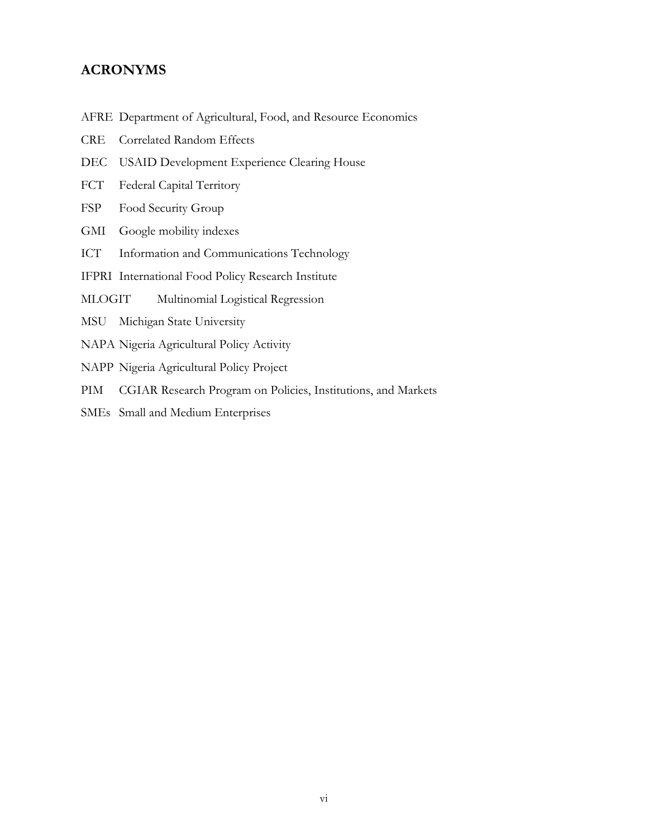#### <span id="page-5-0"></span>**ACRONYMS**

- AFRE Department of Agricultural, Food, and Resource Economics
- CRE Correlated Random Effects
- DEC USAID Development Experience Clearing House
- FCT Federal Capital Territory
- FSP Food Security Group
- GMI Google mobility indexes
- ICT Information and Communications Technology
- IFPRI International Food Policy Research Institute
- MLOGIT Multinomial Logistical Regression
- MSU Michigan State University
- NAPA Nigeria Agricultural Policy Activity
- NAPP Nigeria Agricultural Policy Project
- PIM CGIAR Research Program on Policies, Institutions, and Markets
- SMEs Small and Medium Enterprises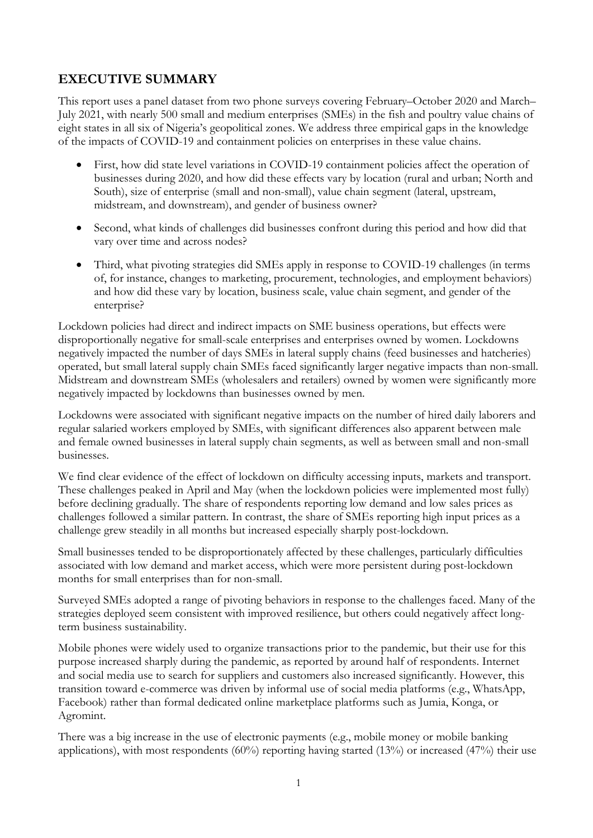## <span id="page-6-0"></span>**EXECUTIVE SUMMARY**

This report uses a panel dataset from two phone surveys covering February–October 2020 and March– July 2021, with nearly 500 small and medium enterprises (SMEs) in the fish and poultry value chains of eight states in all six of Nigeria's geopolitical zones. We address three empirical gaps in the knowledge of the impacts of COVID-19 and containment policies on enterprises in these value chains.

- First, how did state level variations in COVID-19 containment policies affect the operation of businesses during 2020, and how did these effects vary by location (rural and urban; North and South), size of enterprise (small and non-small), value chain segment (lateral, upstream, midstream, and downstream), and gender of business owner?
- Second, what kinds of challenges did businesses confront during this period and how did that vary over time and across nodes?
- Third, what pivoting strategies did SMEs apply in response to COVID-19 challenges (in terms of, for instance, changes to marketing, procurement, technologies, and employment behaviors) and how did these vary by location, business scale, value chain segment, and gender of the enterprise?

Lockdown policies had direct and indirect impacts on SME business operations, but effects were disproportionally negative for small-scale enterprises and enterprises owned by women. Lockdowns negatively impacted the number of days SMEs in lateral supply chains (feed businesses and hatcheries) operated, but small lateral supply chain SMEs faced significantly larger negative impacts than non-small. Midstream and downstream SMEs (wholesalers and retailers) owned by women were significantly more negatively impacted by lockdowns than businesses owned by men.

Lockdowns were associated with significant negative impacts on the number of hired daily laborers and regular salaried workers employed by SMEs, with significant differences also apparent between male and female owned businesses in lateral supply chain segments, as well as between small and non-small businesses.

We find clear evidence of the effect of lockdown on difficulty accessing inputs, markets and transport. These challenges peaked in April and May (when the lockdown policies were implemented most fully) before declining gradually. The share of respondents reporting low demand and low sales prices as challenges followed a similar pattern. In contrast, the share of SMEs reporting high input prices as a challenge grew steadily in all months but increased especially sharply post-lockdown.

Small businesses tended to be disproportionately affected by these challenges, particularly difficulties associated with low demand and market access, which were more persistent during post-lockdown months for small enterprises than for non-small.

Surveyed SMEs adopted a range of pivoting behaviors in response to the challenges faced. Many of the strategies deployed seem consistent with improved resilience, but others could negatively affect longterm business sustainability.

Mobile phones were widely used to organize transactions prior to the pandemic, but their use for this purpose increased sharply during the pandemic, as reported by around half of respondents. Internet and social media use to search for suppliers and customers also increased significantly. However, this transition toward e-commerce was driven by informal use of social media platforms (e.g., WhatsApp, Facebook) rather than formal dedicated online marketplace platforms such as Jumia, Konga, or Agromint.

There was a big increase in the use of electronic payments (e.g., mobile money or mobile banking applications), with most respondents  $(60%)$  reporting having started  $(13%)$  or increased  $(47%)$  their use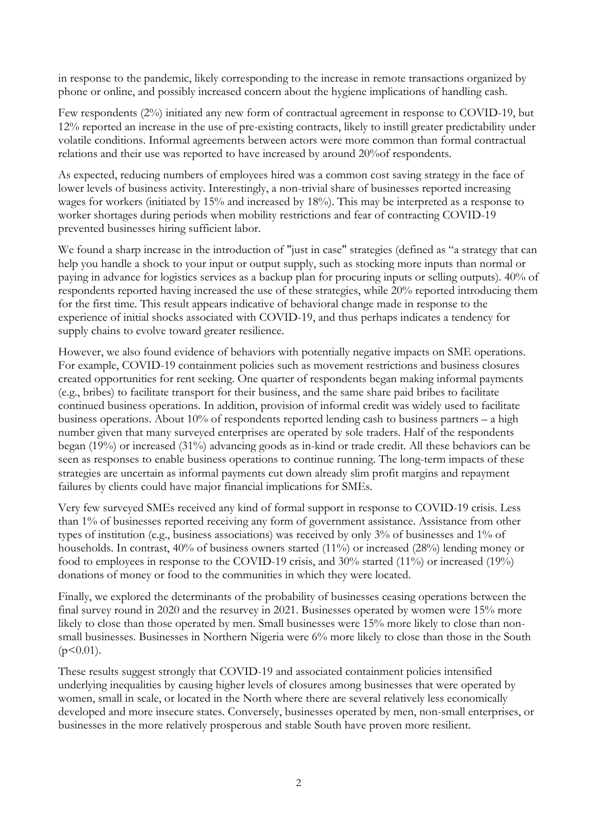in response to the pandemic, likely corresponding to the increase in remote transactions organized by phone or online, and possibly increased concern about the hygiene implications of handling cash.

Few respondents (2%) initiated any new form of contractual agreement in response to COVID-19, but 12% reported an increase in the use of pre-existing contracts, likely to instill greater predictability under volatile conditions. Informal agreements between actors were more common than formal contractual relations and their use was reported to have increased by around 20%of respondents.

As expected, reducing numbers of employees hired was a common cost saving strategy in the face of lower levels of business activity. Interestingly, a non-trivial share of businesses reported increasing wages for workers (initiated by 15% and increased by 18%). This may be interpreted as a response to worker shortages during periods when mobility restrictions and fear of contracting COVID-19 prevented businesses hiring sufficient labor.

We found a sharp increase in the introduction of "just in case" strategies (defined as "a strategy that can help you handle a shock to your input or output supply, such as stocking more inputs than normal or paying in advance for logistics services as a backup plan for procuring inputs or selling outputs). 40% of respondents reported having increased the use of these strategies, while 20% reported introducing them for the first time. This result appears indicative of behavioral change made in response to the experience of initial shocks associated with COVID-19, and thus perhaps indicates a tendency for supply chains to evolve toward greater resilience.

However, we also found evidence of behaviors with potentially negative impacts on SME operations. For example, COVID-19 containment policies such as movement restrictions and business closures created opportunities for rent seeking. One quarter of respondents began making informal payments (e.g., bribes) to facilitate transport for their business, and the same share paid bribes to facilitate continued business operations. In addition, provision of informal credit was widely used to facilitate business operations. About 10% of respondents reported lending cash to business partners – a high number given that many surveyed enterprises are operated by sole traders. Half of the respondents began (19%) or increased (31%) advancing goods as in-kind or trade credit. All these behaviors can be seen as responses to enable business operations to continue running. The long-term impacts of these strategies are uncertain as informal payments cut down already slim profit margins and repayment failures by clients could have major financial implications for SMEs.

Very few surveyed SMEs received any kind of formal support in response to COVID-19 crisis. Less than 1% of businesses reported receiving any form of government assistance. Assistance from other types of institution (e.g., business associations) was received by only 3% of businesses and 1% of households. In contrast, 40% of business owners started (11%) or increased (28%) lending money or food to employees in response to the COVID-19 crisis, and 30% started (11%) or increased (19%) donations of money or food to the communities in which they were located.

Finally, we explored the determinants of the probability of businesses ceasing operations between the final survey round in 2020 and the resurvey in 2021. Businesses operated by women were 15% more likely to close than those operated by men. Small businesses were 15% more likely to close than nonsmall businesses. Businesses in Northern Nigeria were 6% more likely to close than those in the South  $(p<0.01)$ .

These results suggest strongly that COVID-19 and associated containment policies intensified underlying inequalities by causing higher levels of closures among businesses that were operated by women, small in scale, or located in the North where there are several relatively less economically developed and more insecure states. Conversely, businesses operated by men, non-small enterprises, or businesses in the more relatively prosperous and stable South have proven more resilient.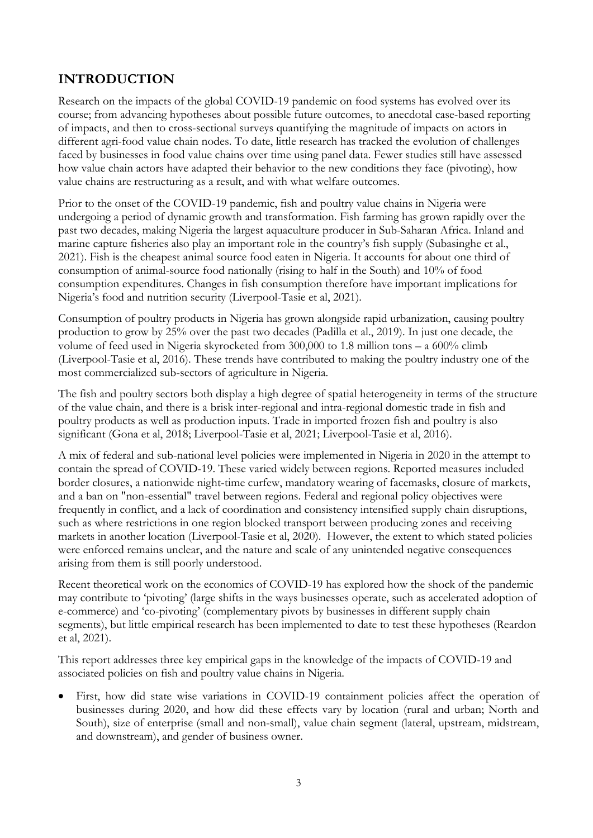## <span id="page-8-0"></span>**INTRODUCTION**

Research on the impacts of the global COVID-19 pandemic on food systems has evolved over its course; from advancing hypotheses about possible future outcomes, to anecdotal case-based reporting of impacts, and then to cross-sectional surveys quantifying the magnitude of impacts on actors in different agri-food value chain nodes. To date, little research has tracked the evolution of challenges faced by businesses in food value chains over time using panel data. Fewer studies still have assessed how value chain actors have adapted their behavior to the new conditions they face (pivoting), how value chains are restructuring as a result, and with what welfare outcomes.

Prior to the onset of the COVID-19 pandemic, fish and poultry value chains in Nigeria were undergoing a period of dynamic growth and transformation. Fish farming has grown rapidly over the past two decades, making Nigeria the largest aquaculture producer in Sub-Saharan Africa. Inland and marine capture fisheries also play an important role in the country's fish supply (Subasinghe et al., 2021). Fish is the cheapest animal source food eaten in Nigeria. It accounts for about one third of consumption of animal-source food nationally (rising to half in the South) and 10% of food consumption expenditures. Changes in fish consumption therefore have important implications for Nigeria's food and nutrition security (Liverpool-Tasie et al, 2021).

Consumption of poultry products in Nigeria has grown alongside rapid urbanization, causing poultry production to grow by 25% over the past two decades (Padilla et al., 2019). In just one decade, the volume of feed used in Nigeria skyrocketed from 300,000 to 1.8 million tons – a 600% climb (Liverpool-Tasie et al, 2016). These trends have contributed to making the poultry industry one of the most commercialized sub-sectors of agriculture in Nigeria.

The fish and poultry sectors both display a high degree of spatial heterogeneity in terms of the structure of the value chain, and there is a brisk inter-regional and intra-regional domestic trade in fish and poultry products as well as production inputs. Trade in imported frozen fish and poultry is also significant (Gona et al, 2018; Liverpool-Tasie et al, 2021; Liverpool-Tasie et al, 2016).

A mix of federal and sub-national level policies were implemented in Nigeria in 2020 in the attempt to contain the spread of COVID-19. These varied widely between regions. Reported measures included border closures, a nationwide night-time curfew, mandatory wearing of facemasks, closure of markets, and a ban on "non-essential" travel between regions. Federal and regional policy objectives were frequently in conflict, and a lack of coordination and consistency intensified supply chain disruptions, such as where restrictions in one region blocked transport between producing zones and receiving markets in another location (Liverpool-Tasie et al, 2020). However, the extent to which stated policies were enforced remains unclear, and the nature and scale of any unintended negative consequences arising from them is still poorly understood.

Recent theoretical work on the economics of COVID-19 has explored how the shock of the pandemic may contribute to 'pivoting' (large shifts in the ways businesses operate, such as accelerated adoption of e-commerce) and 'co-pivoting' (complementary pivots by businesses in different supply chain segments), but little empirical research has been implemented to date to test these hypotheses (Reardon et al, 2021).

This report addresses three key empirical gaps in the knowledge of the impacts of COVID-19 and associated policies on fish and poultry value chains in Nigeria.

• First, how did state wise variations in COVID-19 containment policies affect the operation of businesses during 2020, and how did these effects vary by location (rural and urban; North and South), size of enterprise (small and non-small), value chain segment (lateral, upstream, midstream, and downstream), and gender of business owner.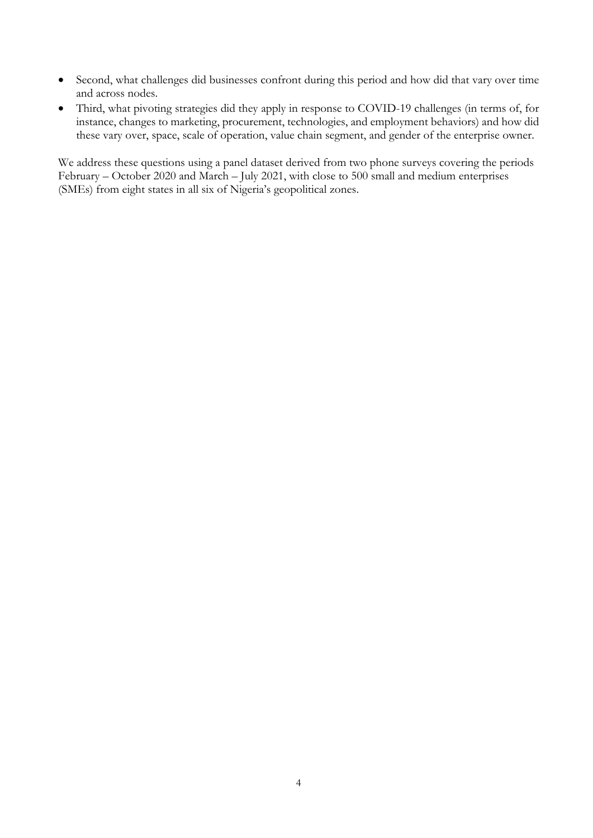- Second, what challenges did businesses confront during this period and how did that vary over time and across nodes.
- Third, what pivoting strategies did they apply in response to COVID-19 challenges (in terms of, for instance, changes to marketing, procurement, technologies, and employment behaviors) and how did these vary over, space, scale of operation, value chain segment, and gender of the enterprise owner.

We address these questions using a panel dataset derived from two phone surveys covering the periods February – October 2020 and March – July 2021, with close to 500 small and medium enterprises (SMEs) from eight states in all six of Nigeria's geopolitical zones.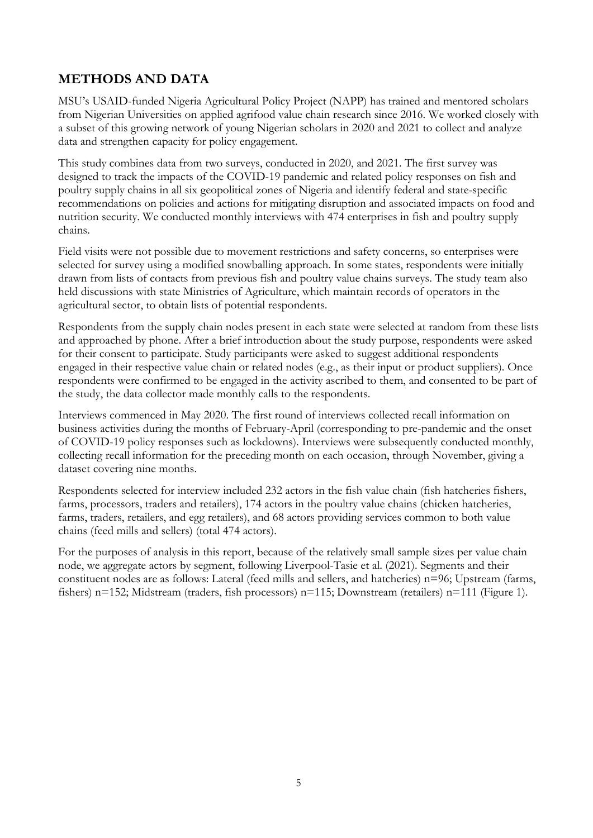## <span id="page-10-0"></span>**METHODS AND DATA**

MSU's USAID-funded Nigeria Agricultural Policy Project (NAPP) has trained and mentored scholars from Nigerian Universities on applied agrifood value chain research since 2016. We worked closely with a subset of this growing network of young Nigerian scholars in 2020 and 2021 to collect and analyze data and strengthen capacity for policy engagement.

This study combines data from two surveys, conducted in 2020, and 2021. The first survey was designed to track the impacts of the COVID-19 pandemic and related policy responses on fish and poultry supply chains in all six geopolitical zones of Nigeria and identify federal and state-specific recommendations on policies and actions for mitigating disruption and associated impacts on food and nutrition security. We conducted monthly interviews with 474 enterprises in fish and poultry supply chains.

Field visits were not possible due to movement restrictions and safety concerns, so enterprises were selected for survey using a modified snowballing approach. In some states, respondents were initially drawn from lists of contacts from previous fish and poultry value chains surveys. The study team also held discussions with state Ministries of Agriculture, which maintain records of operators in the agricultural sector, to obtain lists of potential respondents.

Respondents from the supply chain nodes present in each state were selected at random from these lists and approached by phone. After a brief introduction about the study purpose, respondents were asked for their consent to participate. Study participants were asked to suggest additional respondents engaged in their respective value chain or related nodes (e.g., as their input or product suppliers). Once respondents were confirmed to be engaged in the activity ascribed to them, and consented to be part of the study, the data collector made monthly calls to the respondents.

Interviews commenced in May 2020. The first round of interviews collected recall information on business activities during the months of February-April (corresponding to pre-pandemic and the onset of COVID-19 policy responses such as lockdowns). Interviews were subsequently conducted monthly, collecting recall information for the preceding month on each occasion, through November, giving a dataset covering nine months.

Respondents selected for interview included 232 actors in the fish value chain (fish hatcheries fishers, farms, processors, traders and retailers), 174 actors in the poultry value chains (chicken hatcheries, farms, traders, retailers, and egg retailers), and 68 actors providing services common to both value chains (feed mills and sellers) (total 474 actors).

For the purposes of analysis in this report, because of the relatively small sample sizes per value chain node, we aggregate actors by segment, following Liverpool-Tasie et al. (2021). Segments and their constituent nodes are as follows: Lateral (feed mills and sellers, and hatcheries) n=96; Upstream (farms, fishers) n=152; Midstream (traders, fish processors) n=115; Downstream (retailers) n=111 (Figure 1).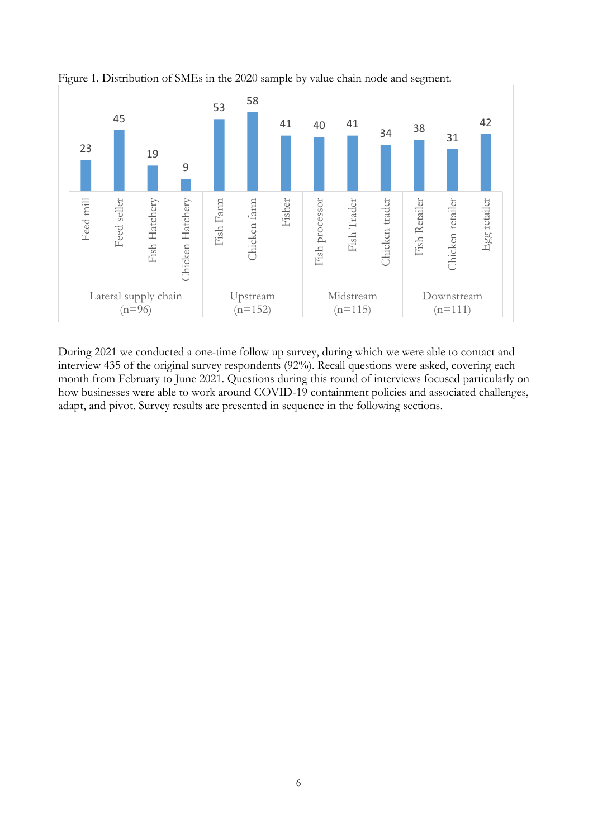

<span id="page-11-0"></span>Figure 1. Distribution of SMEs in the 2020 sample by value chain node and segment.

During 2021 we conducted a one-time follow up survey, during which we were able to contact and interview 435 of the original survey respondents (92%). Recall questions were asked, covering each month from February to June 2021. Questions during this round of interviews focused particularly on how businesses were able to work around COVID-19 containment policies and associated challenges, adapt, and pivot. Survey results are presented in sequence in the following sections.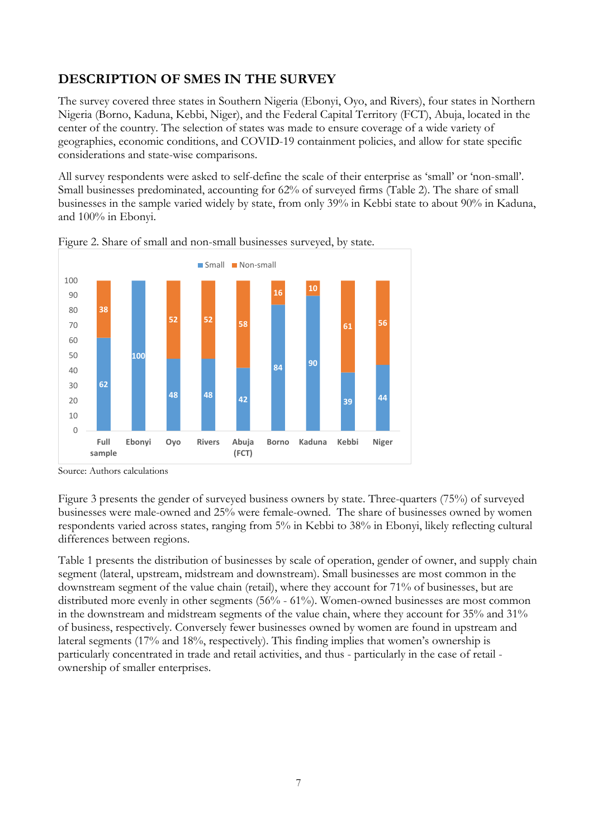## <span id="page-12-0"></span>**DESCRIPTION OF SMES IN THE SURVEY**

The survey covered three states in Southern Nigeria (Ebonyi, Oyo, and Rivers), four states in Northern Nigeria (Borno, Kaduna, Kebbi, Niger), and the Federal Capital Territory (FCT), Abuja, located in the center of the country. The selection of states was made to ensure coverage of a wide variety of geographies, economic conditions, and COVID-19 containment policies, and allow for state specific considerations and state-wise comparisons.

<span id="page-12-1"></span>All survey respondents were asked to self-define the scale of their enterprise as 'small' or 'non-small'. Small businesses predominated, accounting for 62% of surveyed firms (Table 2). The share of small businesses in the sample varied widely by state, from only 39% in Kebbi state to about 90% in Kaduna, and 100% in Ebonyi.



Figure 2. Share of small and non-small businesses surveyed, by state.

Source: Authors calculations

Figure 3 presents the gender of surveyed business owners by state. Three-quarters (75%) of surveyed businesses were male-owned and 25% were female-owned. The share of businesses owned by women respondents varied across states, ranging from 5% in Kebbi to 38% in Ebonyi, likely reflecting cultural differences between regions.

Table 1 presents the distribution of businesses by scale of operation, gender of owner, and supply chain segment (lateral, upstream, midstream and downstream). Small businesses are most common in the downstream segment of the value chain (retail), where they account for 71% of businesses, but are distributed more evenly in other segments (56% - 61%). Women-owned businesses are most common in the downstream and midstream segments of the value chain, where they account for 35% and 31% of business, respectively. Conversely fewer businesses owned by women are found in upstream and lateral segments (17% and 18%, respectively). This finding implies that women's ownership is particularly concentrated in trade and retail activities, and thus - particularly in the case of retail ownership of smaller enterprises.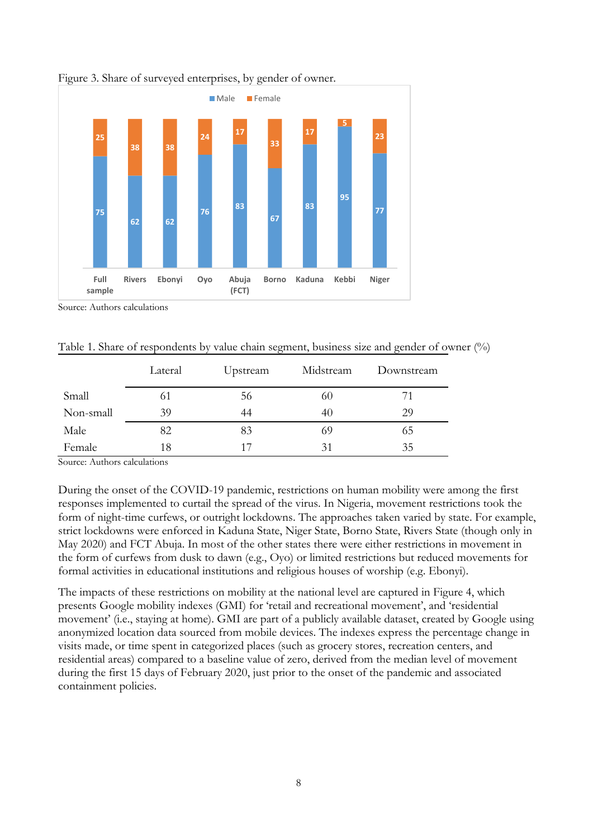

<span id="page-13-1"></span>Figure 3. Share of surveyed enterprises, by gender of owner.

<span id="page-13-0"></span>Source: Authors calculations

Table 1. Share of respondents by value chain segment, business size and gender of owner (%)

|           | Lateral | Upstream | Midstream | Downstream |
|-----------|---------|----------|-----------|------------|
| Small     | 61      | 56       | 60        | 71         |
| Non-small | 39      | 44       | 40        | 29         |
| Male      | 82      | 83       | 69        | 65         |
| Female    | 18      | 17       | 31        | 35         |

Source: Authors calculations

During the onset of the COVID-19 pandemic, restrictions on human mobility were among the first responses implemented to curtail the spread of the virus. In Nigeria, movement restrictions took the form of night-time curfews, or outright lockdowns. The approaches taken varied by state. For example, strict lockdowns were enforced in Kaduna State, Niger State, Borno State, Rivers State (though only in May 2020) and FCT Abuja. In most of the other states there were either restrictions in movement in the form of curfews from dusk to dawn (e.g., Oyo) or limited restrictions but reduced movements for formal activities in educational institutions and religious houses of worship (e.g. Ebonyi).

The impacts of these restrictions on mobility at the national level are captured in Figure 4, which presents Google mobility indexes (GMI) for 'retail and recreational movement', and 'residential movement' (i.e., staying at home). GMI are part of a publicly available dataset, created by Google using anonymized location data sourced from mobile devices. The indexes express the percentage change in visits made, or time spent in categorized places (such as grocery stores, recreation centers, and residential areas) compared to a baseline value of zero, derived from the median level of movement during the first 15 days of February 2020, just prior to the onset of the pandemic and associated containment policies.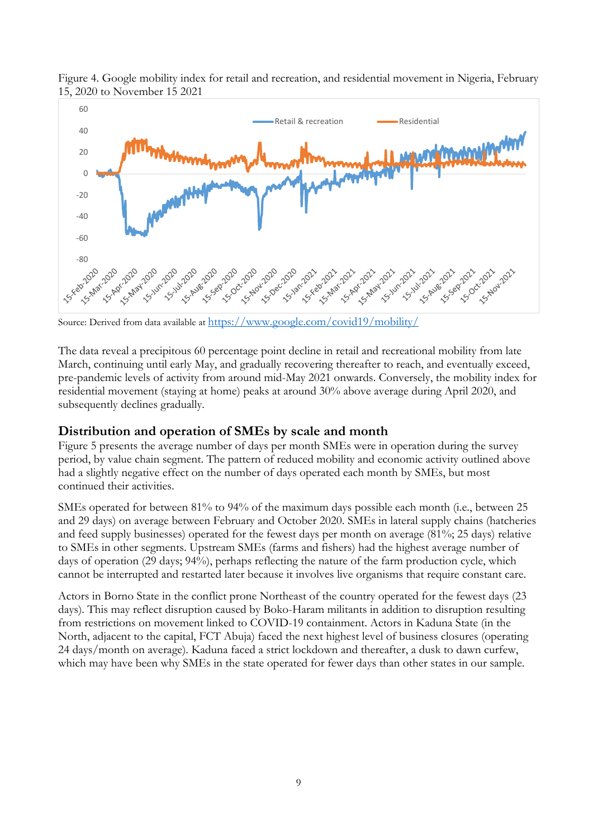

<span id="page-14-1"></span>Figure 4. Google mobility index for retail and recreation, and residential movement in Nigeria, February 15, 2020 to November 15 2021

Source: Derived from data available at<https://www.google.com/covid19/mobility/>

<span id="page-14-0"></span>The data reveal a precipitous 60 percentage point decline in retail and recreational mobility from late March, continuing until early May, and gradually recovering thereafter to reach, and eventually exceed, pre-pandemic levels of activity from around mid-May 2021 onwards. Conversely, the mobility index for residential movement (staying at home) peaks at around 30% above average during April 2020, and subsequently declines gradually.

#### **Distribution and operation of SMEs by scale and month**

Figure 5 presents the average number of days per month SMEs were in operation during the survey period, by value chain segment. The pattern of reduced mobility and economic activity outlined above had a slightly negative effect on the number of days operated each month by SMEs, but most continued their activities.

SMEs operated for between 81% to 94% of the maximum days possible each month (i.e., between 25 and 29 days) on average between February and October 2020. SMEs in lateral supply chains (hatcheries and feed supply businesses) operated for the fewest days per month on average (81%; 25 days) relative to SMEs in other segments. Upstream SMEs (farms and fishers) had the highest average number of days of operation (29 days; 94%), perhaps reflecting the nature of the farm production cycle, which cannot be interrupted and restarted later because it involves live organisms that require constant care.

Actors in Borno State in the conflict prone Northeast of the country operated for the fewest days (23 days). This may reflect disruption caused by Boko-Haram militants in addition to disruption resulting from restrictions on movement linked to COVID-19 containment. Actors in Kaduna State (in the North, adjacent to the capital, FCT Abuja) faced the next highest level of business closures (operating 24 days/month on average). Kaduna faced a strict lockdown and thereafter, a dusk to dawn curfew, which may have been why SMEs in the state operated for fewer days than other states in our sample.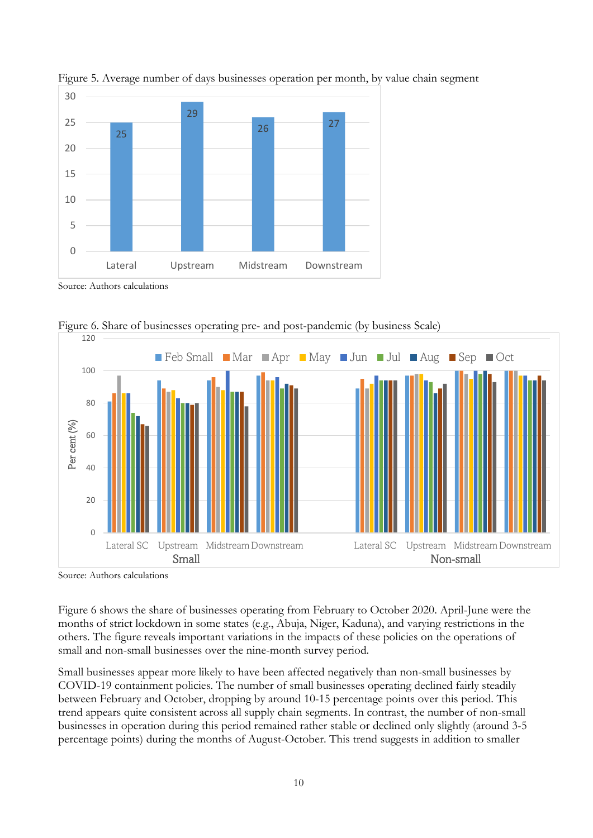

<span id="page-15-0"></span>Figure 5. Average number of days businesses operation per month, by value chain segment

<span id="page-15-1"></span>Source: Authors calculations



Figure 6. Share of businesses operating pre- and post-pandemic (by business Scale)

Source: Authors calculations

Figure 6 shows the share of businesses operating from February to October 2020. April-June were the months of strict lockdown in some states (e.g., Abuja, Niger, Kaduna), and varying restrictions in the others. The figure reveals important variations in the impacts of these policies on the operations of small and non-small businesses over the nine-month survey period.

Small businesses appear more likely to have been affected negatively than non-small businesses by COVID-19 containment policies. The number of small businesses operating declined fairly steadily between February and October, dropping by around 10-15 percentage points over this period. This trend appears quite consistent across all supply chain segments. In contrast, the number of non-small businesses in operation during this period remained rather stable or declined only slightly (around 3-5 percentage points) during the months of August-October. This trend suggests in addition to smaller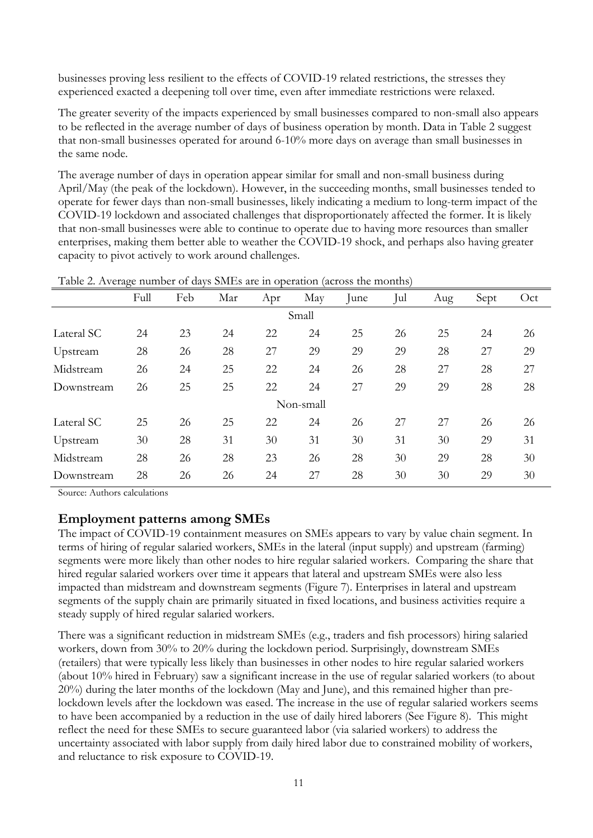businesses proving less resilient to the effects of COVID-19 related restrictions, the stresses they experienced exacted a deepening toll over time, even after immediate restrictions were relaxed.

The greater severity of the impacts experienced by small businesses compared to non-small also appears to be reflected in the average number of days of business operation by month. Data in Table 2 suggest that non-small businesses operated for around 6-10% more days on average than small businesses in the same node.

<span id="page-16-1"></span>The average number of days in operation appear similar for small and non-small business during April/May (the peak of the lockdown). However, in the succeeding months, small businesses tended to operate for fewer days than non-small businesses, likely indicating a medium to long-term impact of the COVID-19 lockdown and associated challenges that disproportionately affected the former. It is likely that non-small businesses were able to continue to operate due to having more resources than smaller enterprises, making them better able to weather the COVID-19 shock, and perhaps also having greater capacity to pivot actively to work around challenges.

|            | radic 2. Inverage manner or days officis are in operation (across the months) |     |     |     |           |      |     |     |      |     |  |
|------------|-------------------------------------------------------------------------------|-----|-----|-----|-----------|------|-----|-----|------|-----|--|
|            | Full                                                                          | Feb | Mar | Apr | May       | June | Jul | Aug | Sept | Oct |  |
|            | Small                                                                         |     |     |     |           |      |     |     |      |     |  |
| Lateral SC | 24                                                                            | 23  | 24  | 22  | 24        | 25   | 26  | 25  | 24   | 26  |  |
| Upstream   | 28                                                                            | 26  | 28  | 27  | 29        | 29   | 29  | 28  | 27   | 29  |  |
| Midstream  | 26                                                                            | 24  | 25  | 22  | 24        | 26   | 28  | 27  | 28   | 27  |  |
| Downstream | 26                                                                            | 25  | 25  | 22  | 24        | 27   | 29  | 29  | 28   | 28  |  |
|            |                                                                               |     |     |     | Non-small |      |     |     |      |     |  |
| Lateral SC | 25                                                                            | 26  | 25  | 22  | 24        | 26   | 27  | 27  | 26   | 26  |  |
| Upstream   | 30                                                                            | 28  | 31  | 30  | 31        | 30   | 31  | 30  | 29   | 31  |  |
| Midstream  | 28                                                                            | 26  | 28  | 23  | 26        | 28   | 30  | 29  | 28   | 30  |  |
| Downstream | 28                                                                            | 26  | 26  | 24  | 27        | 28   | 30  | 30  | 29   | 30  |  |

| Table 2. Average number of days SMEs are in operation (across the months) |  |  |
|---------------------------------------------------------------------------|--|--|
|                                                                           |  |  |

<span id="page-16-0"></span>Source: Authors calculations

#### **Employment patterns among SMEs**

The impact of COVID-19 containment measures on SMEs appears to vary by value chain segment. In terms of hiring of regular salaried workers, SMEs in the lateral (input supply) and upstream (farming) segments were more likely than other nodes to hire regular salaried workers. Comparing the share that hired regular salaried workers over time it appears that lateral and upstream SMEs were also less impacted than midstream and downstream segments (Figure 7). Enterprises in lateral and upstream segments of the supply chain are primarily situated in fixed locations, and business activities require a steady supply of hired regular salaried workers.

There was a significant reduction in midstream SMEs (e.g., traders and fish processors) hiring salaried workers, down from 30% to 20% during the lockdown period. Surprisingly, downstream SMEs (retailers) that were typically less likely than businesses in other nodes to hire regular salaried workers (about 10% hired in February) saw a significant increase in the use of regular salaried workers (to about 20%) during the later months of the lockdown (May and June), and this remained higher than prelockdown levels after the lockdown was eased. The increase in the use of regular salaried workers seems to have been accompanied by a reduction in the use of daily hired laborers (See Figure 8). This might reflect the need for these SMEs to secure guaranteed labor (via salaried workers) to address the uncertainty associated with labor supply from daily hired labor due to constrained mobility of workers, and reluctance to risk exposure to COVID-19.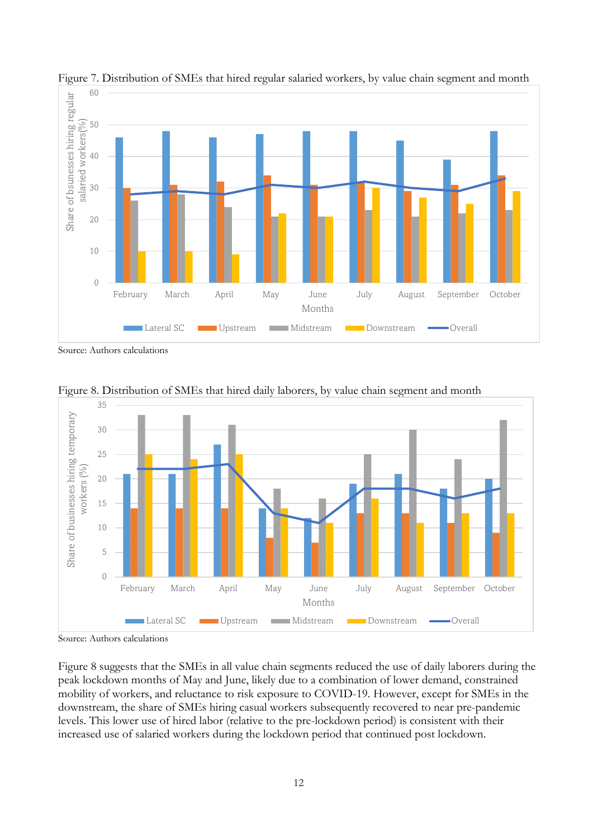

<span id="page-17-0"></span>Figure 7. Distribution of SMEs that hired regular salaried workers, by value chain segment and month

<span id="page-17-1"></span>Source: Authors calculations



Figure 8. Distribution of SMEs that hired daily laborers, by value chain segment and month

Source: Authors calculations

Figure 8 suggests that the SMEs in all value chain segments reduced the use of daily laborers during the peak lockdown months of May and June, likely due to a combination of lower demand, constrained mobility of workers, and reluctance to risk exposure to COVID-19. However, except for SMEs in the downstream, the share of SMEs hiring casual workers subsequently recovered to near pre-pandemic levels. This lower use of hired labor (relative to the pre-lockdown period) is consistent with their increased use of salaried workers during the lockdown period that continued post lockdown.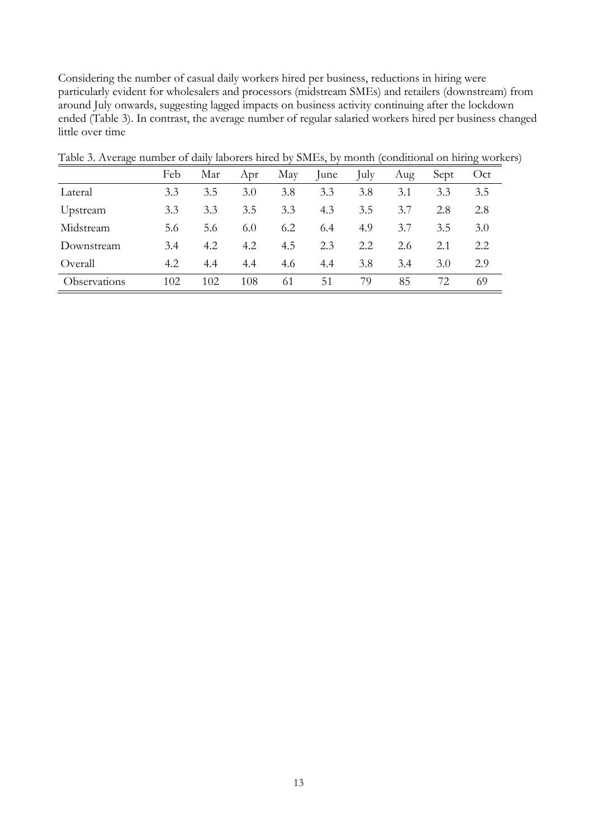<span id="page-18-0"></span>Considering the number of casual daily workers hired per business, reductions in hiring were particularly evident for wholesalers and processors (midstream SMEs) and retailers (downstream) from around July onwards, suggesting lagged impacts on business activity continuing after the lockdown ended (Table 3). In contrast, the average number of regular salaried workers hired per business changed little over time

|              | Feb | Mar | Apr | May | lune | July | Aug | Sept | Oct |
|--------------|-----|-----|-----|-----|------|------|-----|------|-----|
| Lateral      | 3.3 | 3.5 | 3.0 | 3.8 | 3.3  | 3.8  | 3.1 | 3.3  | 3.5 |
| Upstream     | 3.3 | 3.3 | 3.5 | 3.3 | 4.3  | 3.5  | 3.7 | 2.8  | 2.8 |
| Midstream    | 5.6 | 5.6 | 6.0 | 6.2 | 6.4  | 4.9  | 3.7 | 3.5  | 3.0 |
| Downstream   | 3.4 | 4.2 | 4.2 | 4.5 | 2.3  | 2.2  | 2.6 | 2.1  | 2.2 |
| Overall      | 4.2 | 4.4 | 4.4 | 4.6 | 4.4  | 3.8  | 3.4 | 3.0  | 2.9 |
| Observations | 102 | 102 | 108 | 61  | 51   | 79   | 85  | 72.  | 69  |

Table 3. Average number of daily laborers hired by SMEs, by month (conditional on hiring workers)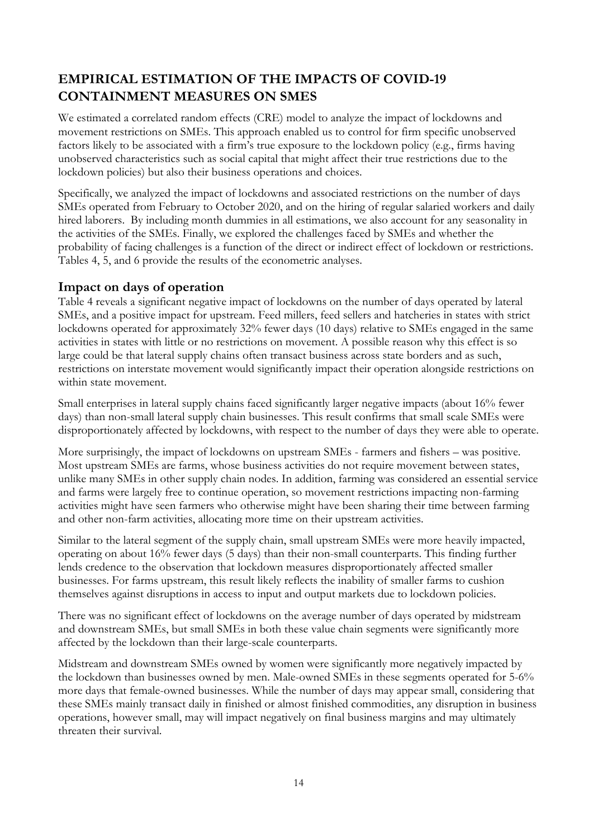## <span id="page-19-0"></span>**EMPIRICAL ESTIMATION OF THE IMPACTS OF COVID-19 CONTAINMENT MEASURES ON SMES**

We estimated a correlated random effects (CRE) model to analyze the impact of lockdowns and movement restrictions on SMEs. This approach enabled us to control for firm specific unobserved factors likely to be associated with a firm's true exposure to the lockdown policy (e.g., firms having unobserved characteristics such as social capital that might affect their true restrictions due to the lockdown policies) but also their business operations and choices.

<span id="page-19-1"></span>Specifically, we analyzed the impact of lockdowns and associated restrictions on the number of days SMEs operated from February to October 2020, and on the hiring of regular salaried workers and daily hired laborers. By including month dummies in all estimations, we also account for any seasonality in the activities of the SMEs. Finally, we explored the challenges faced by SMEs and whether the probability of facing challenges is a function of the direct or indirect effect of lockdown or restrictions. Tables 4, 5, and 6 provide the results of the econometric analyses.

### **Impact on days of operation**

Table 4 reveals a significant negative impact of lockdowns on the number of days operated by lateral SMEs, and a positive impact for upstream. Feed millers, feed sellers and hatcheries in states with strict lockdowns operated for approximately 32% fewer days (10 days) relative to SMEs engaged in the same activities in states with little or no restrictions on movement. A possible reason why this effect is so large could be that lateral supply chains often transact business across state borders and as such, restrictions on interstate movement would significantly impact their operation alongside restrictions on within state movement.

Small enterprises in lateral supply chains faced significantly larger negative impacts (about 16% fewer days) than non-small lateral supply chain businesses. This result confirms that small scale SMEs were disproportionately affected by lockdowns, with respect to the number of days they were able to operate.

More surprisingly, the impact of lockdowns on upstream SMEs - farmers and fishers – was positive. Most upstream SMEs are farms, whose business activities do not require movement between states, unlike many SMEs in other supply chain nodes. In addition, farming was considered an essential service and farms were largely free to continue operation, so movement restrictions impacting non-farming activities might have seen farmers who otherwise might have been sharing their time between farming and other non-farm activities, allocating more time on their upstream activities.

Similar to the lateral segment of the supply chain, small upstream SMEs were more heavily impacted, operating on about 16% fewer days (5 days) than their non-small counterparts. This finding further lends credence to the observation that lockdown measures disproportionately affected smaller businesses. For farms upstream, this result likely reflects the inability of smaller farms to cushion themselves against disruptions in access to input and output markets due to lockdown policies.

There was no significant effect of lockdowns on the average number of days operated by midstream and downstream SMEs, but small SMEs in both these value chain segments were significantly more affected by the lockdown than their large-scale counterparts.

Midstream and downstream SMEs owned by women were significantly more negatively impacted by the lockdown than businesses owned by men. Male-owned SMEs in these segments operated for 5-6% more days that female-owned businesses. While the number of days may appear small, considering that these SMEs mainly transact daily in finished or almost finished commodities, any disruption in business operations, however small, may will impact negatively on final business margins and may ultimately threaten their survival.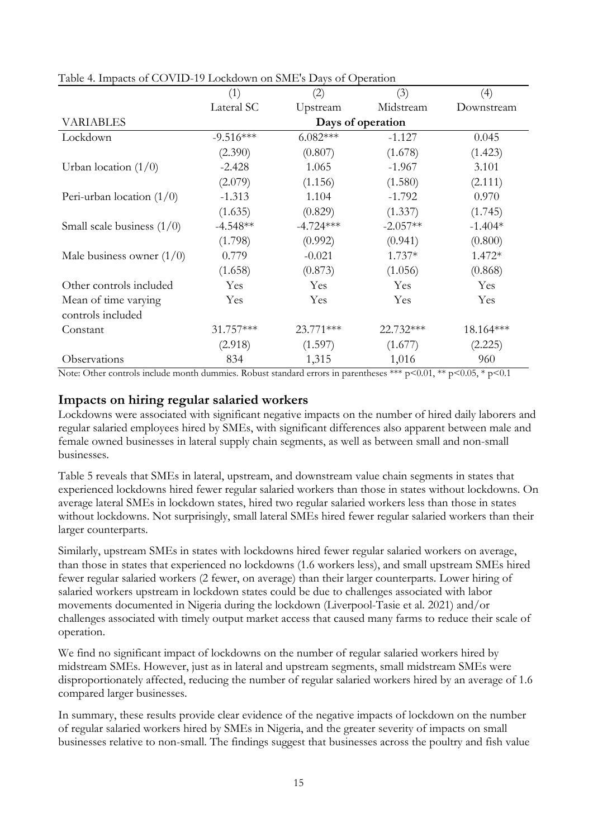|                              | (1)               | (2)         | (3)        | (4)        |  |  |  |  |
|------------------------------|-------------------|-------------|------------|------------|--|--|--|--|
|                              | Lateral SC        | Upstream    | Midstream  | Downstream |  |  |  |  |
| <b>VARIABLES</b>             | Days of operation |             |            |            |  |  |  |  |
| Lockdown                     | $-9.516***$       | $6.082***$  | $-1.127$   | 0.045      |  |  |  |  |
|                              | (2.390)           | (0.807)     | (1.678)    | (1.423)    |  |  |  |  |
| Urban location $(1/0)$       | $-2.428$          | 1.065       | $-1.967$   | 3.101      |  |  |  |  |
|                              | (2.079)           | (1.156)     | (1.580)    | (2.111)    |  |  |  |  |
| Peri-urban location $(1/0)$  | $-1.313$          | 1.104       | $-1.792$   | 0.970      |  |  |  |  |
|                              | (1.635)           | (0.829)     | (1.337)    | (1.745)    |  |  |  |  |
| Small scale business $(1/0)$ | $-4.548**$        | $-4.724***$ | $-2.057**$ | $-1.404*$  |  |  |  |  |
|                              | (1.798)           | (0.992)     | (0.941)    | (0.800)    |  |  |  |  |
| Male business owner $(1/0)$  | 0.779             | $-0.021$    | $1.737*$   | $1.472*$   |  |  |  |  |
|                              | (1.658)           | (0.873)     | (1.056)    | (0.868)    |  |  |  |  |
| Other controls included      | <b>Yes</b>        | Yes         | Yes        | Yes        |  |  |  |  |
| Mean of time varying         | Yes               | Yes         | Yes        | Yes        |  |  |  |  |
| controls included            |                   |             |            |            |  |  |  |  |
| Constant                     | $31.757***$       | $23.771***$ | 22.732***  | 18.164***  |  |  |  |  |
|                              | (2.918)           | (1.597)     | (1.677)    | (2.225)    |  |  |  |  |
| Observations                 | 834               | 1,315       | 1,016      | 960        |  |  |  |  |

<span id="page-20-1"></span>Table 4. Impacts of COVID-19 Lockdown on SME's Days of Operation

<span id="page-20-0"></span>Note: Other controls include month dummies. Robust standard errors in parentheses \*\*\* p<0.01, \*\* p<0.05, \* p<0.1

#### **Impacts on hiring regular salaried workers**

Lockdowns were associated with significant negative impacts on the number of hired daily laborers and regular salaried employees hired by SMEs, with significant differences also apparent between male and female owned businesses in lateral supply chain segments, as well as between small and non-small businesses.

Table 5 reveals that SMEs in lateral, upstream, and downstream value chain segments in states that experienced lockdowns hired fewer regular salaried workers than those in states without lockdowns. On average lateral SMEs in lockdown states, hired two regular salaried workers less than those in states without lockdowns. Not surprisingly, small lateral SMEs hired fewer regular salaried workers than their larger counterparts.

Similarly, upstream SMEs in states with lockdowns hired fewer regular salaried workers on average, than those in states that experienced no lockdowns (1.6 workers less), and small upstream SMEs hired fewer regular salaried workers (2 fewer, on average) than their larger counterparts. Lower hiring of salaried workers upstream in lockdown states could be due to challenges associated with labor movements documented in Nigeria during the lockdown (Liverpool-Tasie et al. 2021) and/or challenges associated with timely output market access that caused many farms to reduce their scale of operation.

We find no significant impact of lockdowns on the number of regular salaried workers hired by midstream SMEs. However, just as in lateral and upstream segments, small midstream SMEs were disproportionately affected, reducing the number of regular salaried workers hired by an average of 1.6 compared larger businesses.

In summary, these results provide clear evidence of the negative impacts of lockdown on the number of regular salaried workers hired by SMEs in Nigeria, and the greater severity of impacts on small businesses relative to non-small. The findings suggest that businesses across the poultry and fish value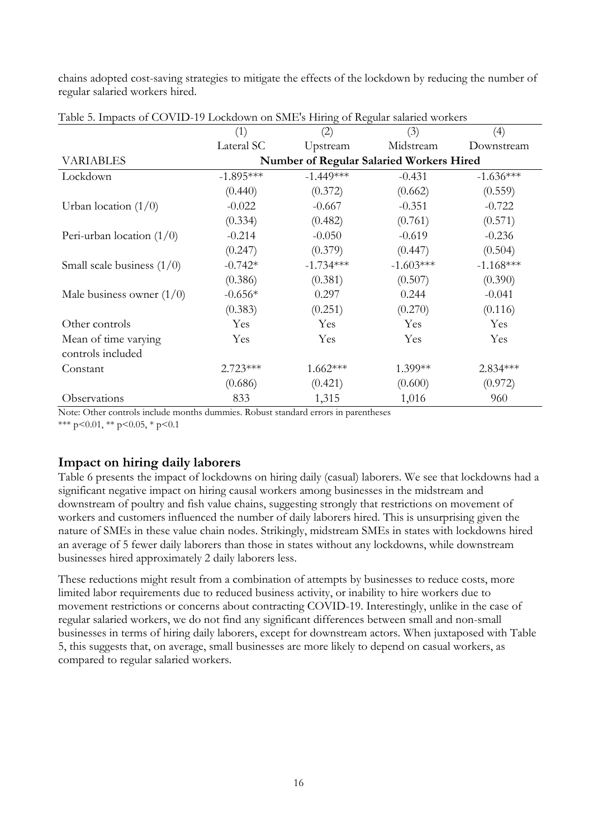<span id="page-21-1"></span>chains adopted cost-saving strategies to mitigate the effects of the lockdown by reducing the number of regular salaried workers hired.

|                              |                                          | O           |             |             |  |  |  |  |
|------------------------------|------------------------------------------|-------------|-------------|-------------|--|--|--|--|
|                              | (1)                                      | (2)         | (3)         | (4)         |  |  |  |  |
|                              | Lateral SC                               | Upstream    | Midstream   | Downstream  |  |  |  |  |
| <b>VARIABLES</b>             | Number of Regular Salaried Workers Hired |             |             |             |  |  |  |  |
| Lockdown                     | $-1.895***$                              | $-1.449***$ | $-0.431$    | $-1.636***$ |  |  |  |  |
|                              | (0.440)                                  | (0.372)     | (0.662)     | (0.559)     |  |  |  |  |
| Urban location $(1/0)$       | $-0.022$                                 | $-0.667$    | $-0.351$    | $-0.722$    |  |  |  |  |
|                              | (0.334)                                  | (0.482)     | (0.761)     | (0.571)     |  |  |  |  |
| Peri-urban location $(1/0)$  | $-0.214$                                 | $-0.050$    | $-0.619$    | $-0.236$    |  |  |  |  |
|                              | (0.247)                                  | (0.379)     | (0.447)     | (0.504)     |  |  |  |  |
| Small scale business $(1/0)$ | $-0.742*$                                | $-1.734***$ | $-1.603***$ | $-1.168***$ |  |  |  |  |
|                              | (0.386)                                  | (0.381)     | (0.507)     | (0.390)     |  |  |  |  |
| Male business owner $(1/0)$  | $-0.656*$                                | 0.297       | 0.244       | $-0.041$    |  |  |  |  |
|                              | (0.383)                                  | (0.251)     | (0.270)     | (0.116)     |  |  |  |  |
| Other controls               | Yes                                      | Yes         | Yes         | Yes         |  |  |  |  |
| Mean of time varying         | Yes                                      | Yes         | Yes         | Yes         |  |  |  |  |
| controls included            |                                          |             |             |             |  |  |  |  |
| Constant                     | $2.723***$                               | $1.662***$  | 1.399**     | 2.834 ***   |  |  |  |  |
|                              | (0.686)                                  | (0.421)     | (0.600)     | (0.972)     |  |  |  |  |
| Observations                 | 833                                      | 1,315       | 1,016       | 960         |  |  |  |  |

Table 5. Impacts of COVID-19 Lockdown on SME's Hiring of Regular salaried workers

<span id="page-21-0"></span>Note: Other controls include months dummies. Robust standard errors in parentheses

\*\*\* p<0.01, \*\* p<0.05, \* p<0.1

#### **Impact on hiring daily laborers**

Table 6 presents the impact of lockdowns on hiring daily (casual) laborers. We see that lockdowns had a significant negative impact on hiring causal workers among businesses in the midstream and downstream of poultry and fish value chains, suggesting strongly that restrictions on movement of workers and customers influenced the number of daily laborers hired. This is unsurprising given the nature of SMEs in these value chain nodes. Strikingly, midstream SMEs in states with lockdowns hired an average of 5 fewer daily laborers than those in states without any lockdowns, while downstream businesses hired approximately 2 daily laborers less.

These reductions might result from a combination of attempts by businesses to reduce costs, more limited labor requirements due to reduced business activity, or inability to hire workers due to movement restrictions or concerns about contracting COVID-19. Interestingly, unlike in the case of regular salaried workers, we do not find any significant differences between small and non-small businesses in terms of hiring daily laborers, except for downstream actors. When juxtaposed with Table 5, this suggests that, on average, small businesses are more likely to depend on casual workers, as compared to regular salaried workers.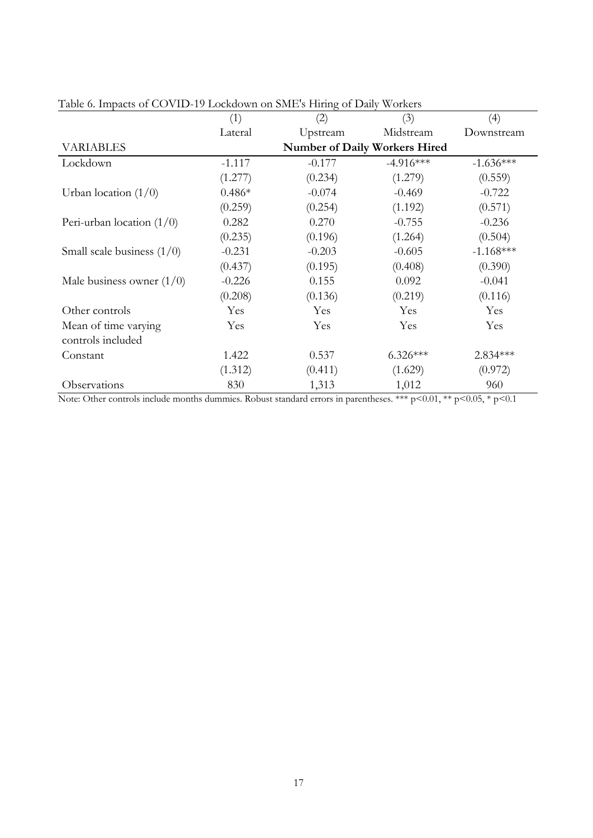|                              | (1)      | (2)      | (3)                                  | (4)         |
|------------------------------|----------|----------|--------------------------------------|-------------|
|                              | Lateral  | Upstream | Midstream                            | Downstream  |
| <b>VARIABLES</b>             |          |          | <b>Number of Daily Workers Hired</b> |             |
| Lockdown                     | $-1.117$ | $-0.177$ | $-4.916***$                          | $-1.636***$ |
|                              | (1.277)  | (0.234)  | (1.279)                              | (0.559)     |
| Urban location $(1/0)$       | $0.486*$ | $-0.074$ | $-0.469$                             | $-0.722$    |
|                              | (0.259)  | (0.254)  | (1.192)                              | (0.571)     |
| Peri-urban location $(1/0)$  | 0.282    | 0.270    | $-0.755$                             | $-0.236$    |
|                              | (0.235)  | (0.196)  | (1.264)                              | (0.504)     |
| Small scale business $(1/0)$ | $-0.231$ | $-0.203$ | $-0.605$                             | $-1.168***$ |
|                              | (0.437)  | (0.195)  | (0.408)                              | (0.390)     |
| Male business owner $(1/0)$  | $-0.226$ | 0.155    | 0.092                                | $-0.041$    |
|                              | (0.208)  | (0.136)  | (0.219)                              | (0.116)     |
| Other controls               | Yes      | Yes      | Yes                                  | Yes         |
| Mean of time varying         | Yes      | Yes      | Yes                                  | Yes         |
| controls included            |          |          |                                      |             |
| Constant                     | 1.422    | 0.537    | $6.326***$                           | 2.834 ***   |
|                              | (1.312)  | (0.411)  | (1.629)                              | (0.972)     |
| Observations                 | 830      | 1,313    | 1,012                                | 960         |

<span id="page-22-0"></span>Table 6. Impacts of COVID-19 Lockdown on SME's Hiring of Daily Workers

Note: Other controls include months dummies. Robust standard errors in parentheses. \*\*\* p<0.01, \*\* p<0.05, \* p<0.1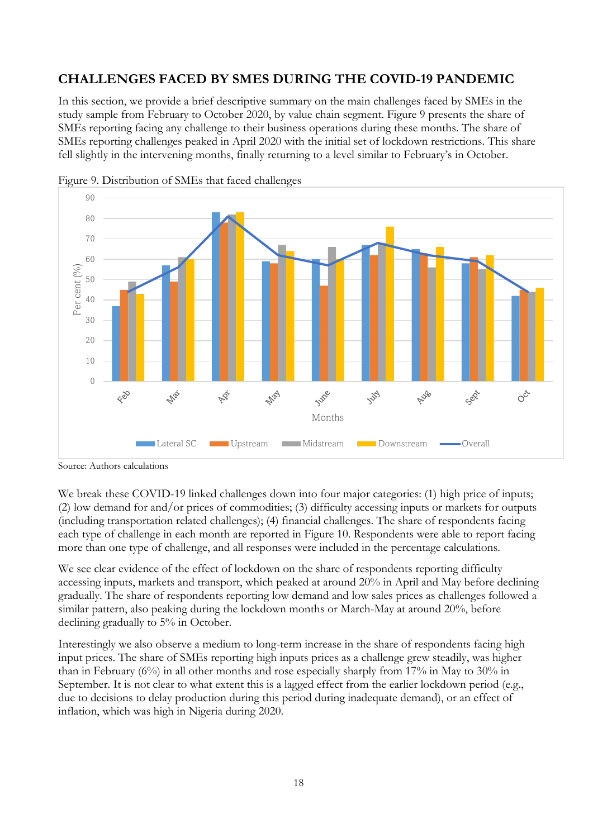## <span id="page-23-0"></span>**CHALLENGES FACED BY SMES DURING THE COVID-19 PANDEMIC**

<span id="page-23-1"></span>In this section, we provide a brief descriptive summary on the main challenges faced by SMEs in the study sample from February to October 2020, by value chain segment. Figure 9 presents the share of SMEs reporting facing any challenge to their business operations during these months. The share of SMEs reporting challenges peaked in April 2020 with the initial set of lockdown restrictions. This share fell slightly in the intervening months, finally returning to a level similar to February's in October.





We break these COVID-19 linked challenges down into four major categories: (1) high price of inputs; (2) low demand for and/or prices of commodities; (3) difficulty accessing inputs or markets for outputs (including transportation related challenges); (4) financial challenges. The share of respondents facing each type of challenge in each month are reported in Figure 10. Respondents were able to report facing more than one type of challenge, and all responses were included in the percentage calculations.

We see clear evidence of the effect of lockdown on the share of respondents reporting difficulty accessing inputs, markets and transport, which peaked at around 20% in April and May before declining gradually. The share of respondents reporting low demand and low sales prices as challenges followed a similar pattern, also peaking during the lockdown months or March-May at around 20%, before declining gradually to 5% in October.

Interestingly we also observe a medium to long-term increase in the share of respondents facing high input prices. The share of SMEs reporting high inputs prices as a challenge grew steadily, was higher than in February  $(6\%)$  in all other months and rose especially sharply from 17% in May to 30% in September. It is not clear to what extent this is a lagged effect from the earlier lockdown period (e.g., due to decisions to delay production during this period during inadequate demand), or an effect of inflation, which was high in Nigeria during 2020.

Source: Authors calculations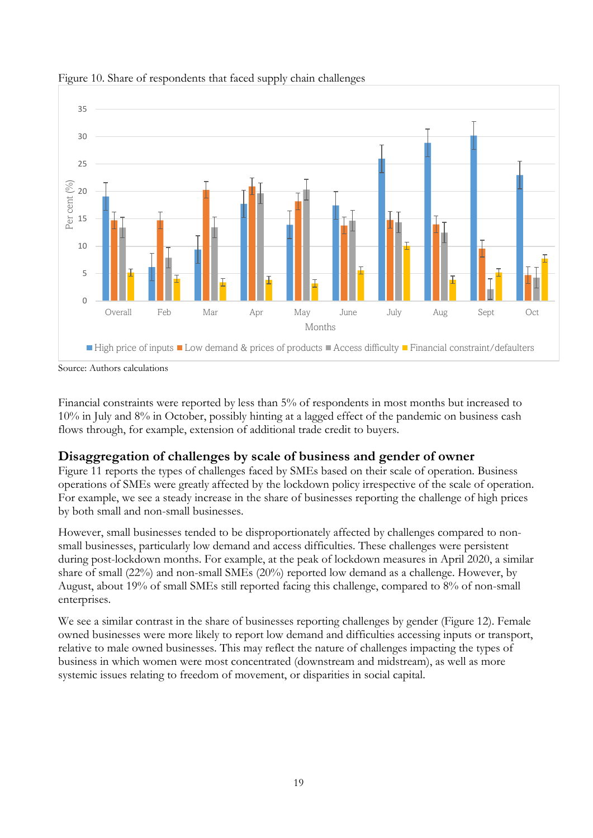

#### <span id="page-24-1"></span>Figure 10. Share of respondents that faced supply chain challenges

Source: Authors calculations

<span id="page-24-0"></span>Financial constraints were reported by less than 5% of respondents in most months but increased to 10% in July and 8% in October, possibly hinting at a lagged effect of the pandemic on business cash flows through, for example, extension of additional trade credit to buyers.

### **Disaggregation of challenges by scale of business and gender of owner**

Figure 11 reports the types of challenges faced by SMEs based on their scale of operation. Business operations of SMEs were greatly affected by the lockdown policy irrespective of the scale of operation. For example, we see a steady increase in the share of businesses reporting the challenge of high prices by both small and non-small businesses.

However, small businesses tended to be disproportionately affected by challenges compared to nonsmall businesses, particularly low demand and access difficulties. These challenges were persistent during post-lockdown months. For example, at the peak of lockdown measures in April 2020, a similar share of small (22%) and non-small SMEs (20%) reported low demand as a challenge. However, by August, about 19% of small SMEs still reported facing this challenge, compared to 8% of non-small enterprises.

We see a similar contrast in the share of businesses reporting challenges by gender (Figure 12). Female owned businesses were more likely to report low demand and difficulties accessing inputs or transport, relative to male owned businesses. This may reflect the nature of challenges impacting the types of business in which women were most concentrated (downstream and midstream), as well as more systemic issues relating to freedom of movement, or disparities in social capital.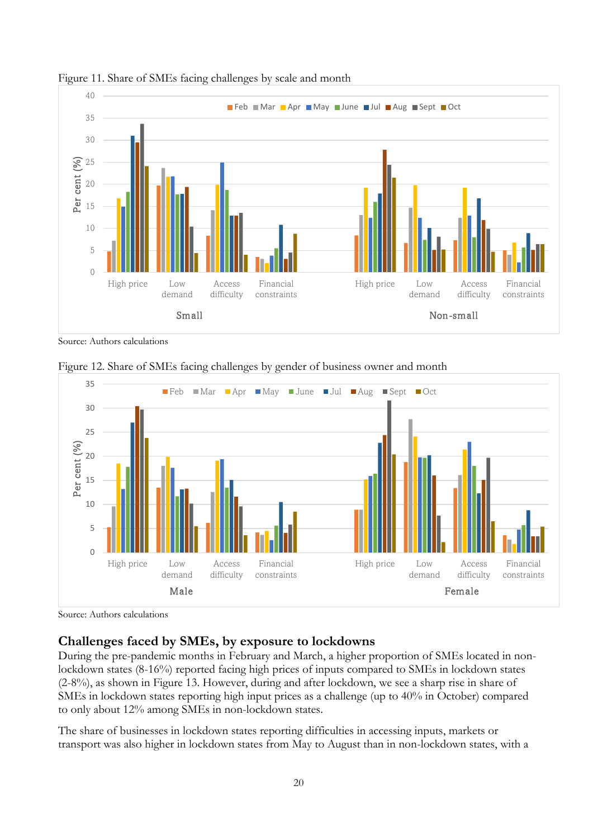

<span id="page-25-1"></span>

<span id="page-25-2"></span>Source: Authors calculations



Figure 12. Share of SMEs facing challenges by gender of business owner and month

<span id="page-25-0"></span>Source: Authors calculations

### **Challenges faced by SMEs, by exposure to lockdowns**

During the pre-pandemic months in February and March, a higher proportion of SMEs located in nonlockdown states (8-16%) reported facing high prices of inputs compared to SMEs in lockdown states (2-8%), as shown in Figure 13. However, during and after lockdown, we see a sharp rise in share of SMEs in lockdown states reporting high input prices as a challenge (up to 40% in October) compared to only about 12% among SMEs in non-lockdown states.

The share of businesses in lockdown states reporting difficulties in accessing inputs, markets or transport was also higher in lockdown states from May to August than in non-lockdown states, with a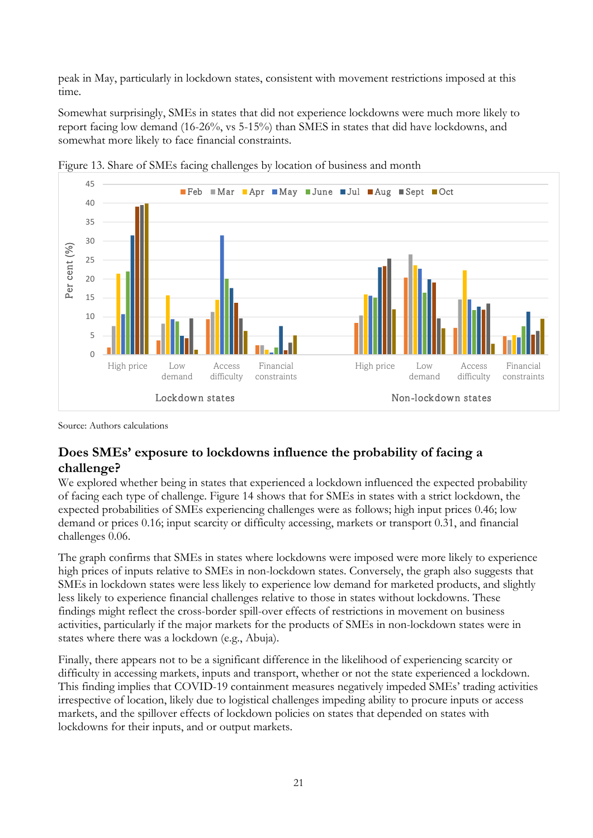peak in May, particularly in lockdown states, consistent with movement restrictions imposed at this time.

<span id="page-26-1"></span>Somewhat surprisingly, SMEs in states that did not experience lockdowns were much more likely to report facing low demand (16-26%, vs 5-15%) than SMES in states that did have lockdowns, and somewhat more likely to face financial constraints.



Figure 13. Share of SMEs facing challenges by location of business and month

<span id="page-26-0"></span>Source: Authors calculations

### **Does SMEs' exposure to lockdowns influence the probability of facing a challenge?**

We explored whether being in states that experienced a lockdown influenced the expected probability of facing each type of challenge. Figure 14 shows that for SMEs in states with a strict lockdown, the expected probabilities of SMEs experiencing challenges were as follows; high input prices 0.46; low demand or prices 0.16; input scarcity or difficulty accessing, markets or transport 0.31, and financial challenges 0.06.

The graph confirms that SMEs in states where lockdowns were imposed were more likely to experience high prices of inputs relative to SMEs in non-lockdown states. Conversely, the graph also suggests that SMEs in lockdown states were less likely to experience low demand for marketed products, and slightly less likely to experience financial challenges relative to those in states without lockdowns. These findings might reflect the cross-border spill-over effects of restrictions in movement on business activities, particularly if the major markets for the products of SMEs in non-lockdown states were in states where there was a lockdown (e.g., Abuja).

Finally, there appears not to be a significant difference in the likelihood of experiencing scarcity or difficulty in accessing markets, inputs and transport, whether or not the state experienced a lockdown. This finding implies that COVID-19 containment measures negatively impeded SMEs' trading activities irrespective of location, likely due to logistical challenges impeding ability to procure inputs or access markets, and the spillover effects of lockdown policies on states that depended on states with lockdowns for their inputs, and or output markets.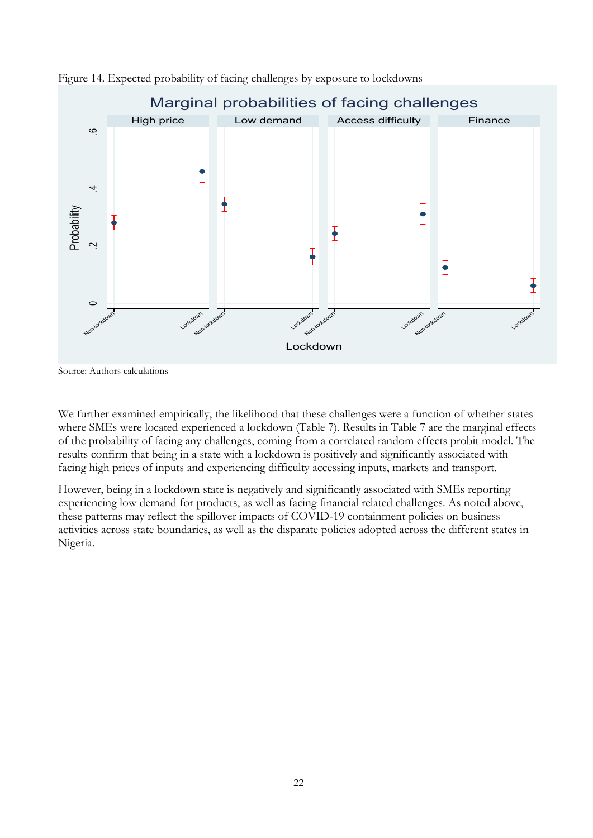

<span id="page-27-0"></span>

We further examined empirically, the likelihood that these challenges were a function of whether states where SMEs were located experienced a lockdown (Table 7). Results in Table 7 are the marginal effects of the probability of facing any challenges, coming from a correlated random effects probit model. The results confirm that being in a state with a lockdown is positively and significantly associated with facing high prices of inputs and experiencing difficulty accessing inputs, markets and transport.

However, being in a lockdown state is negatively and significantly associated with SMEs reporting experiencing low demand for products, as well as facing financial related challenges. As noted above, these patterns may reflect the spillover impacts of COVID-19 containment policies on business activities across state boundaries, as well as the disparate policies adopted across the different states in Nigeria.

Source: Authors calculations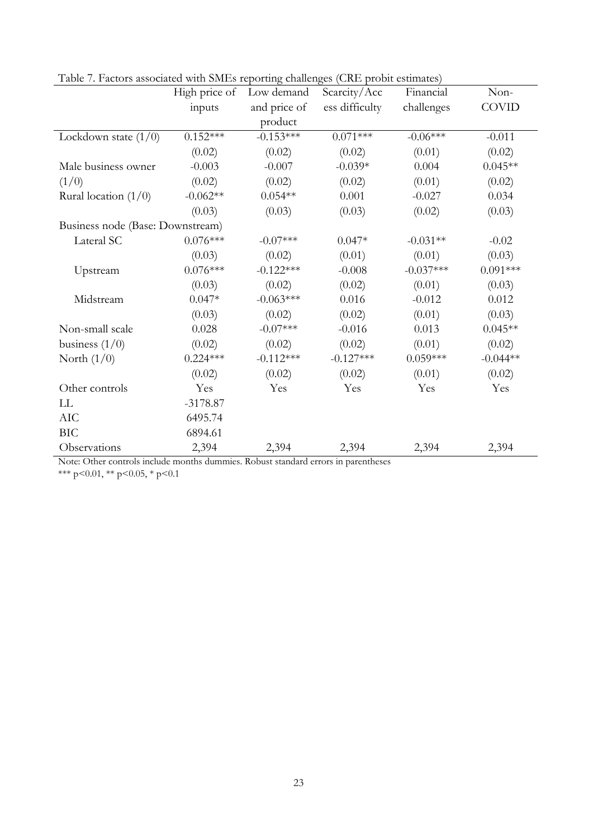|                                  | High price of | Low demand   | Scarcity/Acc   | Financial   | Non-         |
|----------------------------------|---------------|--------------|----------------|-------------|--------------|
|                                  | inputs        | and price of | ess difficulty | challenges  | <b>COVID</b> |
|                                  |               | product      |                |             |              |
| Lockdown state $(1/0)$           | $0.152***$    | $-0.153***$  | $0.071***$     | $-0.06***$  | $-0.011$     |
|                                  | (0.02)        | (0.02)       | (0.02)         | (0.01)      | (0.02)       |
| Male business owner              | $-0.003$      | $-0.007$     | $-0.039*$      | 0.004       | $0.045**$    |
| (1/0)                            | (0.02)        | (0.02)       | (0.02)         | (0.01)      | (0.02)       |
| Rural location $(1/0)$           | $-0.062**$    | $0.054**$    | 0.001          | $-0.027$    | 0.034        |
|                                  | (0.03)        | (0.03)       | (0.03)         | (0.02)      | (0.03)       |
| Business node (Base: Downstream) |               |              |                |             |              |
| Lateral SC                       | $0.076***$    | $-0.07***$   | $0.047*$       | $-0.031**$  | $-0.02$      |
|                                  | (0.03)        | (0.02)       | (0.01)         | (0.01)      | (0.03)       |
| Upstream                         | $0.076***$    | $-0.122***$  | $-0.008$       | $-0.037***$ | $0.091***$   |
|                                  | (0.03)        | (0.02)       | (0.02)         | (0.01)      | (0.03)       |
| Midstream                        | $0.047*$      | $-0.063***$  | 0.016          | $-0.012$    | 0.012        |
|                                  | (0.03)        | (0.02)       | (0.02)         | (0.01)      | (0.03)       |
| Non-small scale                  | 0.028         | $-0.07***$   | $-0.016$       | 0.013       | $0.045**$    |
| business $(1/0)$                 | (0.02)        | (0.02)       | (0.02)         | (0.01)      | (0.02)       |
| North $(1/0)$                    | $0.224***$    | $-0.112***$  | $-0.127***$    | $0.059***$  | $-0.044**$   |
|                                  | (0.02)        | (0.02)       | (0.02)         | (0.01)      | (0.02)       |
| Other controls                   | Yes           | Yes          | Yes            | Yes         | Yes          |
| LL                               | $-3178.87$    |              |                |             |              |
| AIC                              | 6495.74       |              |                |             |              |
| <b>BIC</b>                       | 6894.61       |              |                |             |              |
| Observations                     | 2,394         | 2,394        | 2,394          | 2,394       | 2,394        |

<span id="page-28-0"></span>Table 7. Factors associated with SMEs reporting challenges (CRE probit estimates)

Note: Other controls include months dummies. Robust standard errors in parentheses

\*\*\* p<0.01, \*\* p<0.05, \* p<0.1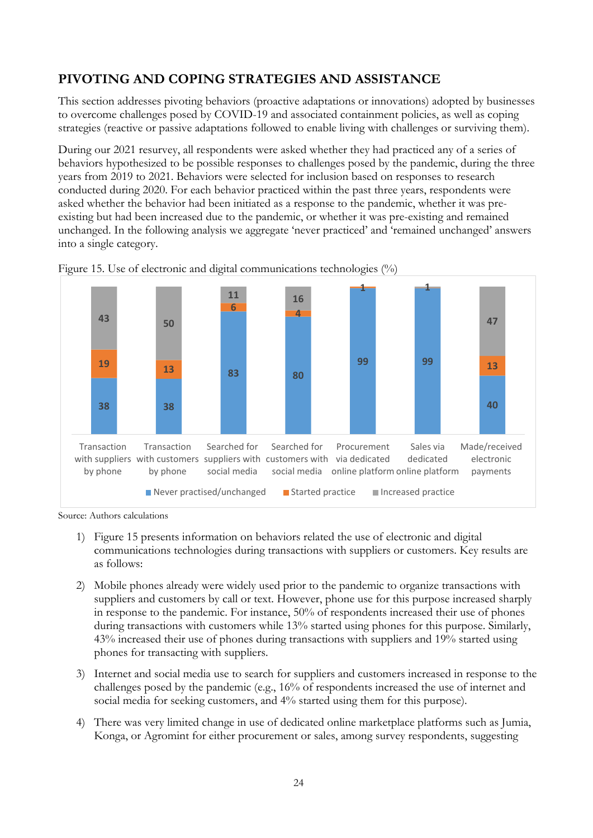## <span id="page-29-0"></span>**PIVOTING AND COPING STRATEGIES AND ASSISTANCE**

This section addresses pivoting behaviors (proactive adaptations or innovations) adopted by businesses to overcome challenges posed by COVID-19 and associated containment policies, as well as coping strategies (reactive or passive adaptations followed to enable living with challenges or surviving them).

During our 2021 resurvey, all respondents were asked whether they had practiced any of a series of behaviors hypothesized to be possible responses to challenges posed by the pandemic, during the three years from 2019 to 2021. Behaviors were selected for inclusion based on responses to research conducted during 2020. For each behavior practiced within the past three years, respondents were asked whether the behavior had been initiated as a response to the pandemic, whether it was preexisting but had been increased due to the pandemic, or whether it was pre-existing and remained unchanged. In the following analysis we aggregate 'never practiced' and 'remained unchanged' answers into a single category.



<span id="page-29-1"></span>Figure 15. Use of electronic and digital communications technologies (%)

Source: Authors calculations

- 1) Figure 15 presents information on behaviors related the use of electronic and digital communications technologies during transactions with suppliers or customers. Key results are as follows:
- 2) Mobile phones already were widely used prior to the pandemic to organize transactions with suppliers and customers by call or text. However, phone use for this purpose increased sharply in response to the pandemic. For instance, 50% of respondents increased their use of phones during transactions with customers while 13% started using phones for this purpose. Similarly, 43% increased their use of phones during transactions with suppliers and 19% started using phones for transacting with suppliers.
- 3) Internet and social media use to search for suppliers and customers increased in response to the challenges posed by the pandemic (e.g., 16% of respondents increased the use of internet and social media for seeking customers, and 4% started using them for this purpose).
- 4) There was very limited change in use of dedicated online marketplace platforms such as Jumia, Konga, or Agromint for either procurement or sales, among survey respondents, suggesting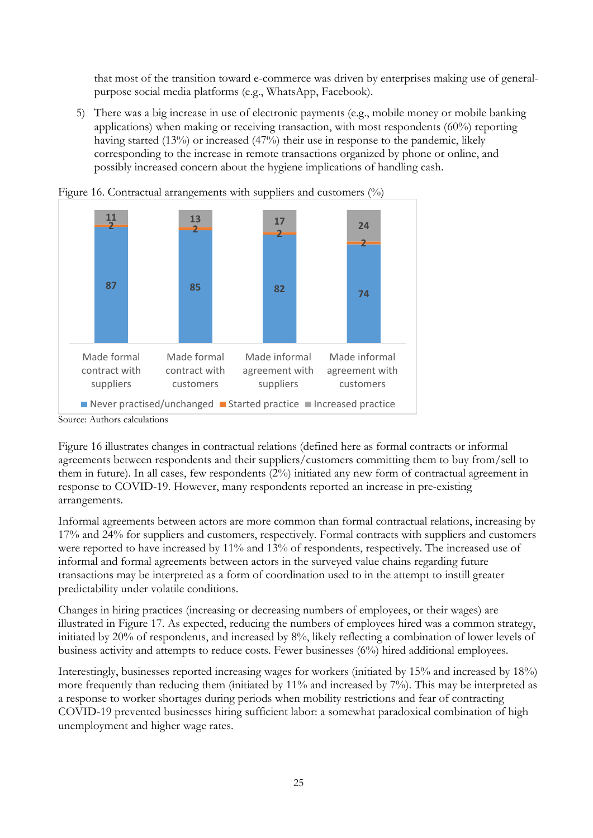that most of the transition toward e-commerce was driven by enterprises making use of generalpurpose social media platforms (e.g., WhatsApp, Facebook).

<span id="page-30-0"></span>5) There was a big increase in use of electronic payments (e.g., mobile money or mobile banking applications) when making or receiving transaction, with most respondents (60%) reporting having started (13%) or increased (47%) their use in response to the pandemic, likely corresponding to the increase in remote transactions organized by phone or online, and possibly increased concern about the hygiene implications of handling cash.





Figure 16 illustrates changes in contractual relations (defined here as formal contracts or informal agreements between respondents and their suppliers/customers committing them to buy from/sell to them in future). In all cases, few respondents (2%) initiated any new form of contractual agreement in response to COVID-19. However, many respondents reported an increase in pre-existing arrangements.

Informal agreements between actors are more common than formal contractual relations, increasing by 17% and 24% for suppliers and customers, respectively. Formal contracts with suppliers and customers were reported to have increased by 11% and 13% of respondents, respectively. The increased use of informal and formal agreements between actors in the surveyed value chains regarding future transactions may be interpreted as a form of coordination used to in the attempt to instill greater predictability under volatile conditions.

Changes in hiring practices (increasing or decreasing numbers of employees, or their wages) are illustrated in Figure 17. As expected, reducing the numbers of employees hired was a common strategy, initiated by 20% of respondents, and increased by 8%, likely reflecting a combination of lower levels of business activity and attempts to reduce costs. Fewer businesses (6%) hired additional employees.

Interestingly, businesses reported increasing wages for workers (initiated by 15% and increased by 18%) more frequently than reducing them (initiated by 11% and increased by 7%). This may be interpreted as a response to worker shortages during periods when mobility restrictions and fear of contracting COVID-19 prevented businesses hiring sufficient labor: a somewhat paradoxical combination of high unemployment and higher wage rates.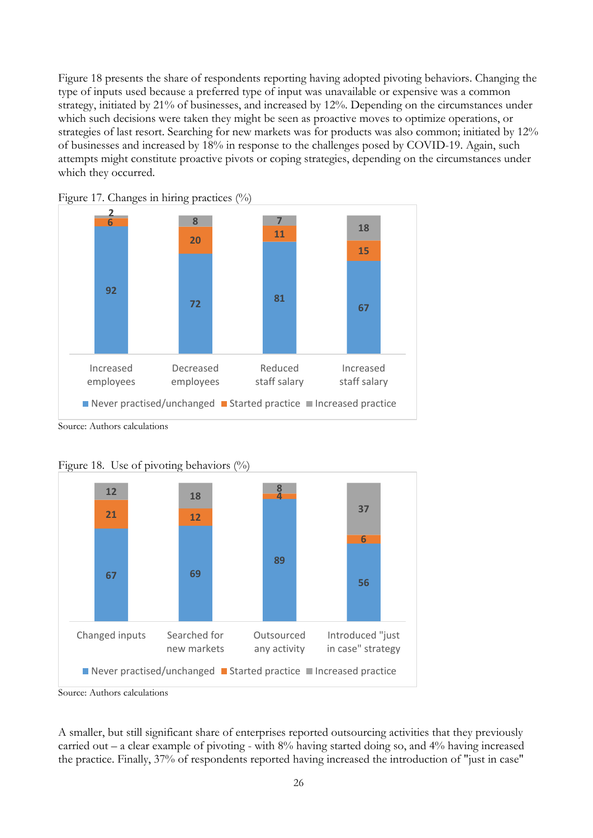Figure 18 presents the share of respondents reporting having adopted pivoting behaviors. Changing the type of inputs used because a preferred type of input was unavailable or expensive was a common strategy, initiated by 21% of businesses, and increased by 12%. Depending on the circumstances under which such decisions were taken they might be seen as proactive moves to optimize operations, or strategies of last resort. Searching for new markets was for products was also common; initiated by 12% of businesses and increased by 18% in response to the challenges posed by COVID-19. Again, such attempts might constitute proactive pivots or coping strategies, depending on the circumstances under which they occurred.



<span id="page-31-0"></span>

<span id="page-31-1"></span>Source: Authors calculations



Figure 18. Use of pivoting behaviors  $(\%)$ 

A smaller, but still significant share of enterprises reported outsourcing activities that they previously carried out – a clear example of pivoting - with  $8\%$  having started doing so, and  $4\%$  having increased the practice. Finally, 37% of respondents reported having increased the introduction of "just in case"

Source: Authors calculations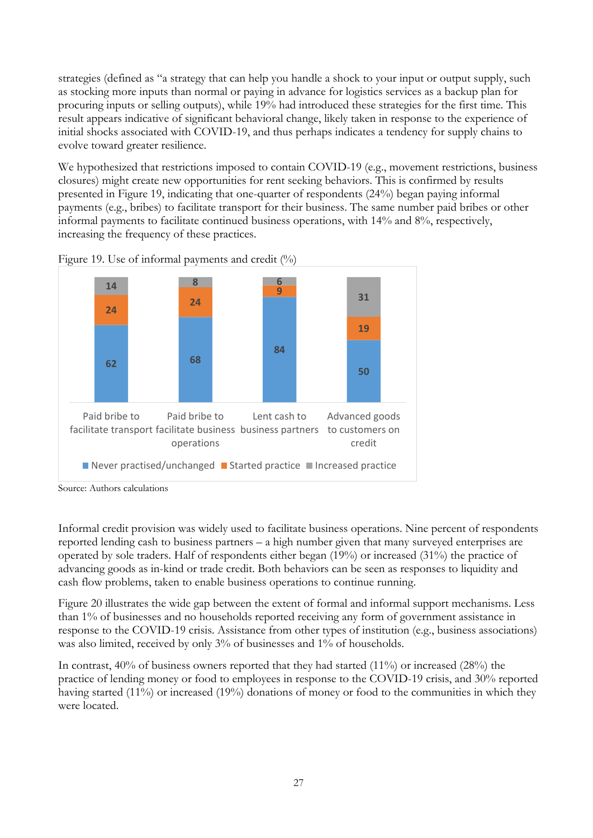strategies (defined as "a strategy that can help you handle a shock to your input or output supply, such as stocking more inputs than normal or paying in advance for logistics services as a backup plan for procuring inputs or selling outputs), while 19% had introduced these strategies for the first time. This result appears indicative of significant behavioral change, likely taken in response to the experience of initial shocks associated with COVID-19, and thus perhaps indicates a tendency for supply chains to evolve toward greater resilience.

<span id="page-32-0"></span>We hypothesized that restrictions imposed to contain COVID-19 (e.g., movement restrictions, business closures) might create new opportunities for rent seeking behaviors. This is confirmed by results presented in Figure 19, indicating that one-quarter of respondents (24%) began paying informal payments (e.g., bribes) to facilitate transport for their business. The same number paid bribes or other informal payments to facilitate continued business operations, with 14% and 8%, respectively, increasing the frequency of these practices.





Informal credit provision was widely used to facilitate business operations. Nine percent of respondents reported lending cash to business partners – a high number given that many surveyed enterprises are operated by sole traders. Half of respondents either began (19%) or increased (31%) the practice of advancing goods as in-kind or trade credit. Both behaviors can be seen as responses to liquidity and cash flow problems, taken to enable business operations to continue running.

Figure 20 illustrates the wide gap between the extent of formal and informal support mechanisms. Less than 1% of businesses and no households reported receiving any form of government assistance in response to the COVID-19 crisis. Assistance from other types of institution (e.g., business associations) was also limited, received by only 3% of businesses and 1% of households.

In contrast, 40% of business owners reported that they had started (11%) or increased (28%) the practice of lending money or food to employees in response to the COVID-19 crisis, and 30% reported having started (11%) or increased (19%) donations of money or food to the communities in which they were located.

Source: Authors calculations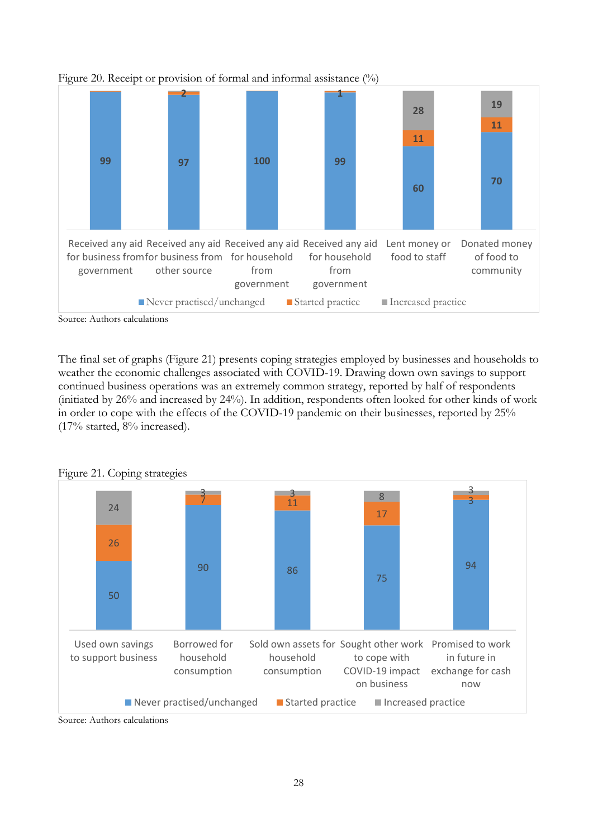

<span id="page-33-0"></span>Figure 20. Receipt or provision of formal and informal assistance (%)

The final set of graphs (Figure 21) presents coping strategies employed by businesses and households to weather the economic challenges associated with COVID-19. Drawing down own savings to support continued business operations was an extremely common strategy, reported by half of respondents (initiated by 26% and increased by 24%). In addition, respondents often looked for other kinds of work in order to cope with the effects of the COVID-19 pandemic on their businesses, reported by 25% (17% started, 8% increased).



<span id="page-33-1"></span>Figure 21. Coping strategies

Source: Authors calculations

Source: Authors calculations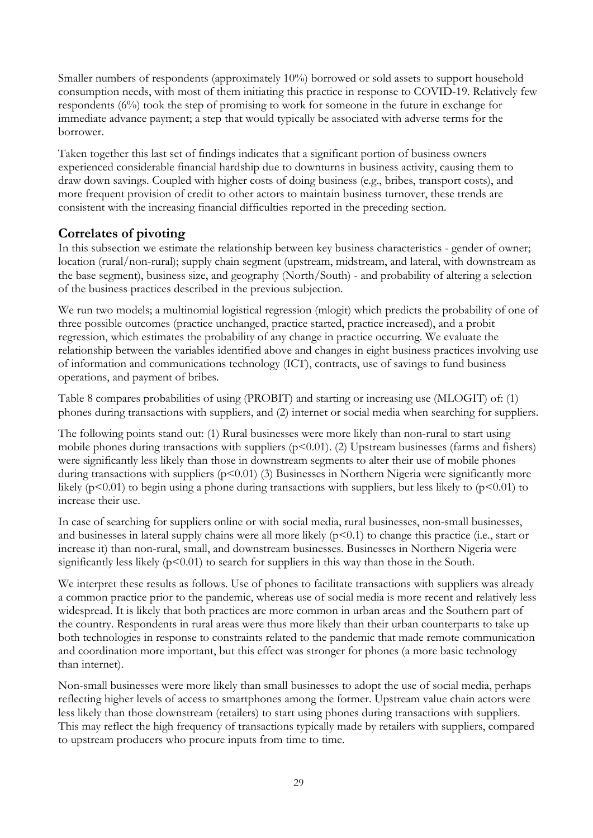Smaller numbers of respondents (approximately 10%) borrowed or sold assets to support household consumption needs, with most of them initiating this practice in response to COVID-19. Relatively few respondents (6%) took the step of promising to work for someone in the future in exchange for immediate advance payment; a step that would typically be associated with adverse terms for the borrower.

<span id="page-34-0"></span>Taken together this last set of findings indicates that a significant portion of business owners experienced considerable financial hardship due to downturns in business activity, causing them to draw down savings. Coupled with higher costs of doing business (e.g., bribes, transport costs), and more frequent provision of credit to other actors to maintain business turnover, these trends are consistent with the increasing financial difficulties reported in the preceding section.

### **Correlates of pivoting**

In this subsection we estimate the relationship between key business characteristics - gender of owner; location (rural/non-rural); supply chain segment (upstream, midstream, and lateral, with downstream as the base segment), business size, and geography (North/South) - and probability of altering a selection of the business practices described in the previous subjection.

We run two models; a multinomial logistical regression (mlogit) which predicts the probability of one of three possible outcomes (practice unchanged, practice started, practice increased), and a probit regression, which estimates the probability of any change in practice occurring. We evaluate the relationship between the variables identified above and changes in eight business practices involving use of information and communications technology (ICT), contracts, use of savings to fund business operations, and payment of bribes.

Table 8 compares probabilities of using (PROBIT) and starting or increasing use (MLOGIT) of: (1) phones during transactions with suppliers, and (2) internet or social media when searching for suppliers.

The following points stand out: (1) Rural businesses were more likely than non-rural to start using mobile phones during transactions with suppliers  $(p<0.01)$ . (2) Upstream businesses (farms and fishers) were significantly less likely than those in downstream segments to alter their use of mobile phones during transactions with suppliers  $(p<0.01)$  (3) Businesses in Northern Nigeria were significantly more likely ( $p<0.01$ ) to begin using a phone during transactions with suppliers, but less likely to ( $p<0.01$ ) to increase their use.

In case of searching for suppliers online or with social media, rural businesses, non-small businesses, and businesses in lateral supply chains were all more likely  $(p<0.1)$  to change this practice (i.e., start or increase it) than non-rural, small, and downstream businesses. Businesses in Northern Nigeria were significantly less likely  $(p<0.01)$  to search for suppliers in this way than those in the South.

We interpret these results as follows. Use of phones to facilitate transactions with suppliers was already a common practice prior to the pandemic, whereas use of social media is more recent and relatively less widespread. It is likely that both practices are more common in urban areas and the Southern part of the country. Respondents in rural areas were thus more likely than their urban counterparts to take up both technologies in response to constraints related to the pandemic that made remote communication and coordination more important, but this effect was stronger for phones (a more basic technology than internet).

Non-small businesses were more likely than small businesses to adopt the use of social media, perhaps reflecting higher levels of access to smartphones among the former. Upstream value chain actors were less likely than those downstream (retailers) to start using phones during transactions with suppliers. This may reflect the high frequency of transactions typically made by retailers with suppliers, compared to upstream producers who procure inputs from time to time.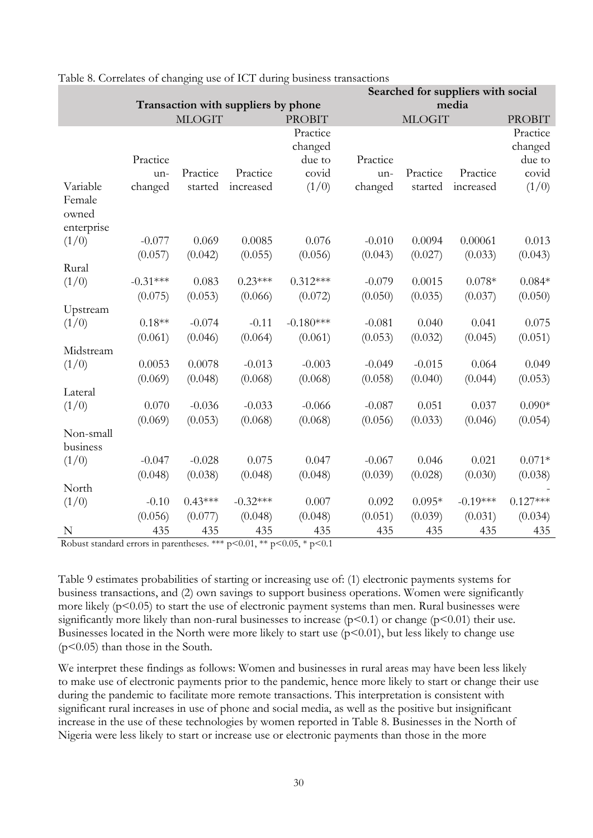|                                           | Searched for suppliers with social |               |                                     |               |          |               |            |               |
|-------------------------------------------|------------------------------------|---------------|-------------------------------------|---------------|----------|---------------|------------|---------------|
|                                           |                                    |               | Transaction with suppliers by phone |               | media    |               |            |               |
|                                           |                                    | <b>MLOGIT</b> |                                     | <b>PROBIT</b> |          | <b>MLOGIT</b> |            | <b>PROBIT</b> |
|                                           |                                    |               |                                     | Practice      |          |               |            | Practice      |
|                                           |                                    |               |                                     | changed       |          |               |            | changed       |
|                                           | Practice                           |               |                                     | due to        | Practice |               |            | due to        |
|                                           | un-                                | Practice      | Practice                            | covid         | un-      | Practice      | Practice   | covid         |
| Variable<br>Female<br>owned<br>enterprise | changed                            | started       | increased                           | (1/0)         | changed  | started       | increased  | (1/0)         |
| (1/0)                                     | $-0.077$                           | 0.069         | 0.0085                              | 0.076         | $-0.010$ | 0.0094        | 0.00061    | 0.013         |
|                                           | (0.057)                            | (0.042)       | (0.055)                             | (0.056)       | (0.043)  | (0.027)       | (0.033)    | (0.043)       |
| Rural                                     |                                    |               |                                     |               |          |               |            |               |
| (1/0)                                     | $-0.31***$                         | 0.083         | $0.23***$                           | $0.312***$    | $-0.079$ | 0.0015        | $0.078*$   | $0.084*$      |
|                                           | (0.075)                            | (0.053)       | (0.066)                             | (0.072)       | (0.050)  | (0.035)       | (0.037)    | (0.050)       |
| Upstream                                  |                                    |               |                                     |               |          |               |            |               |
| (1/0)                                     | $0.18**$                           | $-0.074$      | $-0.11$                             | $-0.180***$   | $-0.081$ | 0.040         | 0.041      | 0.075         |
|                                           | (0.061)                            | (0.046)       | (0.064)                             | (0.061)       | (0.053)  | (0.032)       | (0.045)    | (0.051)       |
| Midstream                                 |                                    |               |                                     |               |          |               |            |               |
| (1/0)                                     | 0.0053                             | 0.0078        | $-0.013$                            | $-0.003$      | $-0.049$ | $-0.015$      | 0.064      | 0.049         |
|                                           | (0.069)                            | (0.048)       | (0.068)                             | (0.068)       | (0.058)  | (0.040)       | (0.044)    | (0.053)       |
| Lateral                                   |                                    |               |                                     |               |          |               |            |               |
| (1/0)                                     | 0.070                              | $-0.036$      | $-0.033$                            | $-0.066$      | $-0.087$ | 0.051         | 0.037      | $0.090*$      |
|                                           | (0.069)                            | (0.053)       | (0.068)                             | (0.068)       | (0.056)  | (0.033)       | (0.046)    | (0.054)       |
| Non-small<br>business                     |                                    |               |                                     |               |          |               |            |               |
| (1/0)                                     | $-0.047$                           | $-0.028$      | 0.075                               | 0.047         | $-0.067$ | 0.046         | 0.021      | $0.071*$      |
|                                           | (0.048)                            | (0.038)       | (0.048)                             | (0.048)       | (0.039)  | (0.028)       | (0.030)    | (0.038)       |
| North                                     |                                    |               |                                     |               |          |               |            |               |
| (1/0)                                     | $-0.10$                            | $0.43***$     | $-0.32***$                          | 0.007         | 0.092    | $0.095*$      | $-0.19***$ | $0.127***$    |
|                                           | (0.056)                            | (0.077)       | (0.048)                             | (0.048)       | (0.051)  | (0.039)       | (0.031)    | (0.034)       |
| N                                         | 435                                | 435           | 435                                 | 435           | 435      | 435           | 435        | 435           |

<span id="page-35-0"></span>

| Table 8. Correlates of changing use of ICT during business transactions |
|-------------------------------------------------------------------------|
|-------------------------------------------------------------------------|

Robust standard errors in parentheses. \*\*\*  $p<0.01$ , \*\*  $p<0.05$ , \*  $p<0.1$ 

Table 9 estimates probabilities of starting or increasing use of: (1) electronic payments systems for business transactions, and (2) own savings to support business operations. Women were significantly more likely  $(p<0.05)$  to start the use of electronic payment systems than men. Rural businesses were significantly more likely than non-rural businesses to increase  $(p<0.1)$  or change  $(p<0.01)$  their use. Businesses located in the North were more likely to start use  $(p<0.01)$ , but less likely to change use (p<0.05) than those in the South.

We interpret these findings as follows: Women and businesses in rural areas may have been less likely to make use of electronic payments prior to the pandemic, hence more likely to start or change their use during the pandemic to facilitate more remote transactions. This interpretation is consistent with significant rural increases in use of phone and social media, as well as the positive but insignificant increase in the use of these technologies by women reported in Table 8. Businesses in the North of Nigeria were less likely to start or increase use or electronic payments than those in the more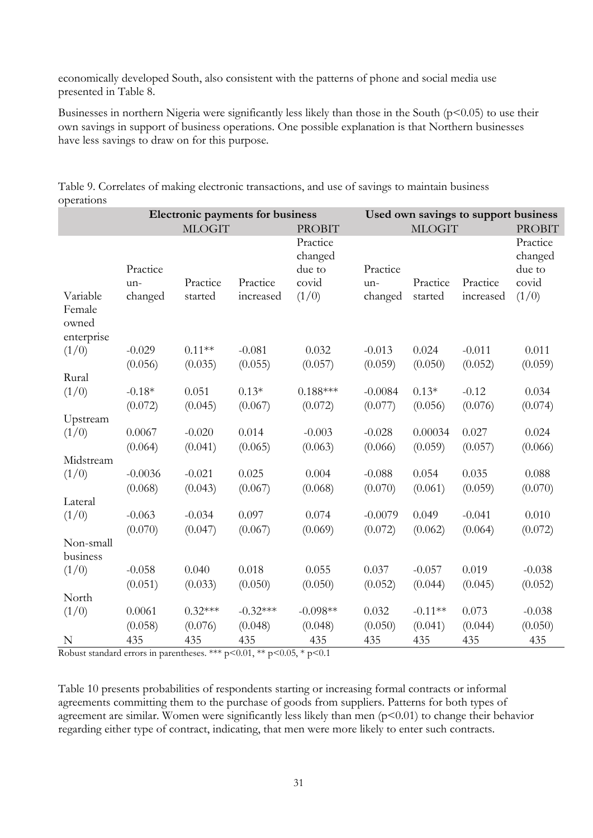economically developed South, also consistent with the patterns of phone and social media use presented in Table 8.

<span id="page-36-0"></span>Businesses in northern Nigeria were significantly less likely than those in the South ( $p$ <0.05) to use their own savings in support of business operations. One possible explanation is that Northern businesses have less savings to draw on for this purpose.

|                                           |           |               | Electronic payments for business | Used own savings to support business<br><b>MLOGIT</b> |           |                     |               |          |  |  |  |
|-------------------------------------------|-----------|---------------|----------------------------------|-------------------------------------------------------|-----------|---------------------|---------------|----------|--|--|--|
|                                           |           | <b>MLOGIT</b> |                                  | <b>PROBIT</b>                                         |           |                     | <b>PROBIT</b> |          |  |  |  |
|                                           |           |               |                                  | Practice<br>changed                                   |           | Practice<br>changed |               |          |  |  |  |
|                                           | Practice  |               |                                  | due to                                                | Practice  |                     |               | due to   |  |  |  |
|                                           | un-       | Practice      | Practice                         | covid                                                 | un-       | Practice            | Practice      | covid    |  |  |  |
| Variable<br>Female<br>owned<br>enterprise | changed   | started       | increased                        | (1/0)                                                 | changed   | started             | increased     | (1/0)    |  |  |  |
|                                           | $-0.029$  | $0.11**$      | $-0.081$                         | 0.032                                                 | $-0.013$  | 0.024               | $-0.011$      | 0.011    |  |  |  |
| (1/0)                                     |           |               |                                  |                                                       |           |                     |               |          |  |  |  |
|                                           | (0.056)   | (0.035)       | (0.055)                          | (0.057)                                               | (0.059)   | (0.050)             | (0.052)       | (0.059)  |  |  |  |
| Rural                                     |           | 0.051         | $0.13*$                          | $0.188***$                                            |           | $0.13*$             | $-0.12$       |          |  |  |  |
| (1/0)                                     | $-0.18*$  |               |                                  |                                                       | $-0.0084$ |                     |               | 0.034    |  |  |  |
|                                           | (0.072)   | (0.045)       | (0.067)                          | (0.072)                                               | (0.077)   | (0.056)             | (0.076)       | (0.074)  |  |  |  |
| Upstream                                  |           |               |                                  |                                                       |           |                     |               |          |  |  |  |
| (1/0)                                     | 0.0067    | $-0.020$      | 0.014                            | $-0.003$                                              | $-0.028$  | 0.00034             | 0.027         | 0.024    |  |  |  |
|                                           | (0.064)   | (0.041)       | (0.065)                          | (0.063)                                               | (0.066)   | (0.059)             | (0.057)       | (0.066)  |  |  |  |
| Midstream                                 |           |               |                                  |                                                       |           |                     |               |          |  |  |  |
| (1/0)                                     | $-0.0036$ | $-0.021$      | 0.025                            | 0.004                                                 | $-0.088$  | 0.054               | 0.035         | 0.088    |  |  |  |
|                                           | (0.068)   | (0.043)       | (0.067)                          | (0.068)                                               | (0.070)   | (0.061)             | (0.059)       | (0.070)  |  |  |  |
| Lateral                                   |           |               |                                  |                                                       |           |                     |               |          |  |  |  |
| (1/0)                                     | $-0.063$  | $-0.034$      | 0.097                            | 0.074                                                 | $-0.0079$ | 0.049               | $-0.041$      | 0.010    |  |  |  |
|                                           | (0.070)   | (0.047)       | (0.067)                          | (0.069)                                               | (0.072)   | (0.062)             | (0.064)       | (0.072)  |  |  |  |
| Non-small                                 |           |               |                                  |                                                       |           |                     |               |          |  |  |  |
| business                                  |           |               |                                  |                                                       |           |                     |               |          |  |  |  |
| (1/0)                                     | $-0.058$  | 0.040         | 0.018                            | 0.055                                                 | 0.037     | $-0.057$            | 0.019         | $-0.038$ |  |  |  |
|                                           | (0.051)   | (0.033)       | (0.050)                          | (0.050)                                               | (0.052)   | (0.044)             | (0.045)       | (0.052)  |  |  |  |
| North                                     |           |               |                                  |                                                       |           |                     |               |          |  |  |  |
| (1/0)                                     | 0.0061    | $0.32***$     | $-0.32***$                       | $-0.098**$                                            | 0.032     | $-0.11**$           | 0.073         | $-0.038$ |  |  |  |
|                                           | (0.058)   | (0.076)       | (0.048)                          | (0.048)                                               | (0.050)   | (0.041)             | (0.044)       | (0.050)  |  |  |  |
| N                                         | 435       | 435           | 435                              | 435                                                   | 435       | 435                 | 435           | 435      |  |  |  |

Table 9. Correlates of making electronic transactions, and use of savings to maintain business operations

Robust standard errors in parentheses. \*\*\* p<0.01, \*\* p<0.05, \* p<0.1

Table 10 presents probabilities of respondents starting or increasing formal contracts or informal agreements committing them to the purchase of goods from suppliers. Patterns for both types of agreement are similar. Women were significantly less likely than men  $(p<0.01)$  to change their behavior regarding either type of contract, indicating, that men were more likely to enter such contracts.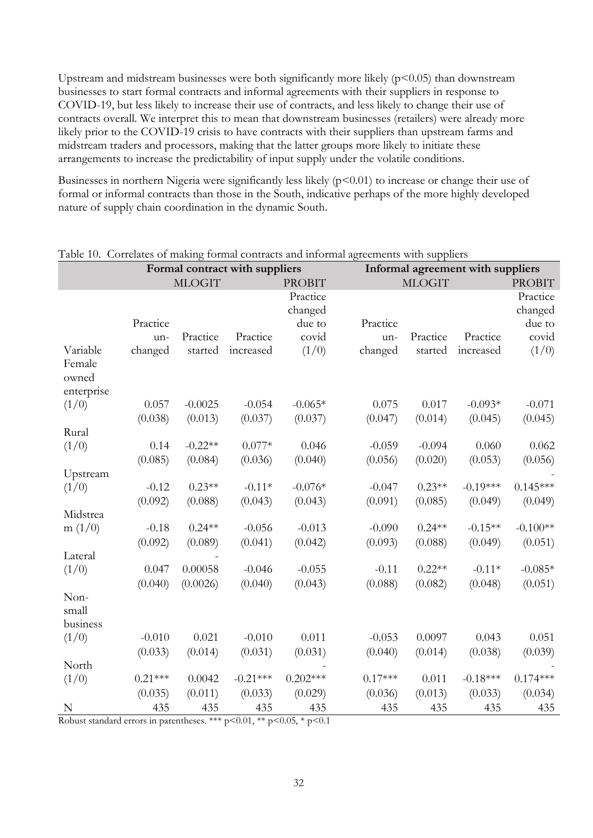Upstream and midstream businesses were both significantly more likely  $(p<0.05)$  than downstream businesses to start formal contracts and informal agreements with their suppliers in response to COVID-19, but less likely to increase their use of contracts, and less likely to change their use of contracts overall. We interpret this to mean that downstream businesses (retailers) were already more likely prior to the COVID-19 crisis to have contracts with their suppliers than upstream farms and midstream traders and processors, making that the latter groups more likely to initiate these arrangements to increase the predictability of input supply under the volatile conditions.

<span id="page-37-0"></span>Businesses in northern Nigeria were significantly less likely  $(p<0.01)$  to increase or change their use of formal or informal contracts than those in the South, indicative perhaps of the more highly developed nature of supply chain coordination in the dynamic South.

|            |               |           | Formal contract with suppliers |               | rable ro. Contentes of maning formal contracts and informal agreements with suppliers<br>Informal agreement with suppliers |          |               |            |  |  |  |
|------------|---------------|-----------|--------------------------------|---------------|----------------------------------------------------------------------------------------------------------------------------|----------|---------------|------------|--|--|--|
|            | <b>MLOGIT</b> |           |                                | <b>PROBIT</b> | <b>MLOGIT</b>                                                                                                              |          | <b>PROBIT</b> |            |  |  |  |
|            |               |           |                                | Practice      |                                                                                                                            |          |               | Practice   |  |  |  |
|            |               |           |                                | changed       |                                                                                                                            |          |               | changed    |  |  |  |
|            | Practice      |           |                                | due to        | Practice                                                                                                                   |          |               | due to     |  |  |  |
|            | un-           | Practice  | Practice                       | covid         | un-                                                                                                                        | Practice | Practice      | covid      |  |  |  |
| Variable   | changed       | started   | increased                      | (1/0)         | changed                                                                                                                    | started  | increased     | (1/0)      |  |  |  |
| Female     |               |           |                                |               |                                                                                                                            |          |               |            |  |  |  |
| owned      |               |           |                                |               |                                                                                                                            |          |               |            |  |  |  |
| enterprise |               |           |                                |               |                                                                                                                            |          |               |            |  |  |  |
| (1/0)      | 0.057         | $-0.0025$ | $-0.054$                       | $-0.065*$     | 0.075                                                                                                                      | 0.017    | $-0.093*$     | $-0.071$   |  |  |  |
|            | (0.038)       | (0.013)   | (0.037)                        | (0.037)       | (0.047)                                                                                                                    | (0.014)  | (0.045)       | (0.045)    |  |  |  |
| Rural      |               |           |                                |               |                                                                                                                            |          |               |            |  |  |  |
| (1/0)      | 0.14          | $-0.22**$ | $0.077*$                       | 0.046         | $-0.059$                                                                                                                   | $-0.094$ | 0.060         | 0.062      |  |  |  |
|            | (0.085)       | (0.084)   | (0.036)                        | (0.040)       | (0.056)                                                                                                                    | (0.020)  | (0.053)       | (0.056)    |  |  |  |
| Upstream   | $-0.12$       | $0.23**$  | $-0.11*$                       | $-0.076*$     | $-0.047$                                                                                                                   | $0.23**$ | $-0.19***$    | $0.145***$ |  |  |  |
| (1/0)      | (0.092)       | (0.088)   | (0.043)                        | (0.043)       | (0.091)                                                                                                                    | (0.085)  | (0.049)       | (0.049)    |  |  |  |
| Midstrea   |               |           |                                |               |                                                                                                                            |          |               |            |  |  |  |
| m(1/0)     | $-0.18$       | $0.24**$  | $-0.056$                       | $-0.013$      | $-0.090$                                                                                                                   | $0.24**$ | $-0.15**$     | $-0.100**$ |  |  |  |
|            | (0.092)       | (0.089)   | (0.041)                        | (0.042)       | (0.093)                                                                                                                    | (0.088)  | (0.049)       | (0.051)    |  |  |  |
| Lateral    |               |           |                                |               |                                                                                                                            |          |               |            |  |  |  |
| (1/0)      | 0.047         | 0.00058   | $-0.046$                       | $-0.055$      | $-0.11$                                                                                                                    | $0.22**$ | $-0.11*$      | $-0.085*$  |  |  |  |
|            | (0.040)       | (0.0026)  | (0.040)                        | (0.043)       | (0.088)                                                                                                                    | (0.082)  | (0.048)       | (0.051)    |  |  |  |
| Non-       |               |           |                                |               |                                                                                                                            |          |               |            |  |  |  |
| small      |               |           |                                |               |                                                                                                                            |          |               |            |  |  |  |
| business   |               |           |                                |               |                                                                                                                            |          |               |            |  |  |  |
| (1/0)      | $-0.010$      | 0.021     | $-0.010$                       | 0.011         | $-0.053$                                                                                                                   | 0.0097   | 0.043         | 0.051      |  |  |  |
|            | (0.033)       | (0.014)   | (0.031)                        | (0.031)       | (0.040)                                                                                                                    | (0.014)  | (0.038)       | (0.039)    |  |  |  |
| North      |               |           |                                |               |                                                                                                                            |          |               |            |  |  |  |
| (1/0)      | $0.21***$     | 0.0042    | $-0.21***$                     | $0.202***$    | $0.17***$                                                                                                                  | 0.011    | $-0.18***$    | $0.174***$ |  |  |  |
|            | (0.035)       | (0.011)   | (0.033)                        | (0.029)       | (0.036)                                                                                                                    | (0.013)  | (0.033)       | (0.034)    |  |  |  |
| N          | 435           | 435       | 435                            | 435           | 435                                                                                                                        | 435      | 435           | 435        |  |  |  |

#### Table 10. Correlates of making formal contracts and informal agreements with suppliers

Robust standard errors in parentheses. \*\*\* p<0.01, \*\* p<0.05, \* p<0.1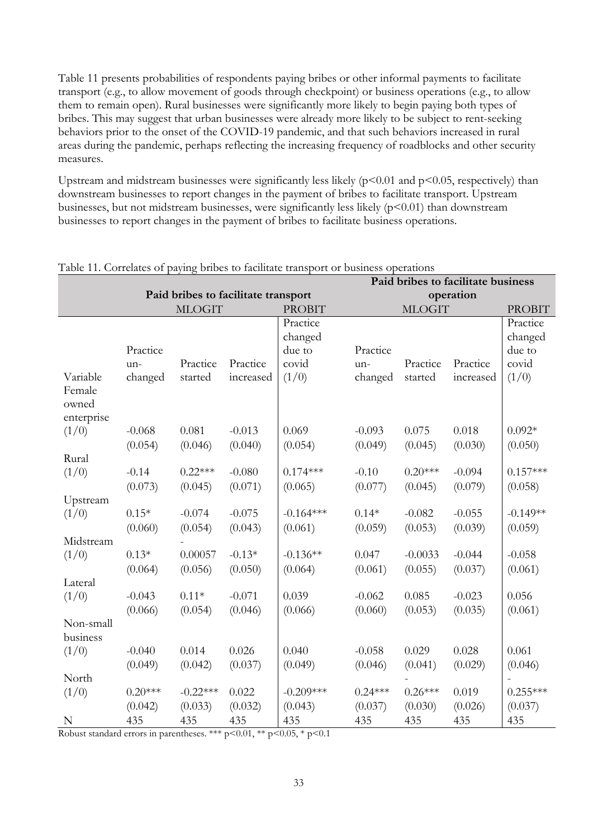Table 11 presents probabilities of respondents paying bribes or other informal payments to facilitate transport (e.g., to allow movement of goods through checkpoint) or business operations (e.g., to allow them to remain open). Rural businesses were significantly more likely to begin paying both types of bribes. This may suggest that urban businesses were already more likely to be subject to rent-seeking behaviors prior to the onset of the COVID-19 pandemic, and that such behaviors increased in rural areas during the pandemic, perhaps reflecting the increasing frequency of roadblocks and other security measures.

<span id="page-38-0"></span>Upstream and midstream businesses were significantly less likely  $(p<0.01$  and  $p<0.05$ , respectively) than downstream businesses to report changes in the payment of bribes to facilitate transport. Upstream businesses, but not midstream businesses, were significantly less likely (p<0.01) than downstream businesses to report changes in the payment of bribes to facilitate business operations.

|                             | rasic Tr. Correlates or paying shoes to number transport or susmess operations<br>Paid bribes to facilitate business |                       |                                     |               |               |           |           |            |  |  |  |  |
|-----------------------------|----------------------------------------------------------------------------------------------------------------------|-----------------------|-------------------------------------|---------------|---------------|-----------|-----------|------------|--|--|--|--|
|                             |                                                                                                                      |                       | Paid bribes to facilitate transport |               | operation     |           |           |            |  |  |  |  |
|                             |                                                                                                                      | <b>MLOGIT</b>         |                                     | <b>PROBIT</b> | <b>MLOGIT</b> |           |           |            |  |  |  |  |
|                             |                                                                                                                      |                       |                                     | Practice      |               |           |           | Practice   |  |  |  |  |
|                             |                                                                                                                      |                       |                                     | changed       |               |           |           | changed    |  |  |  |  |
|                             | Practice                                                                                                             |                       |                                     | due to        | Practice      |           |           | due to     |  |  |  |  |
|                             | un-                                                                                                                  | Practice              | Practice                            | covid         | un-           | Practice  | Practice  | covid      |  |  |  |  |
| Variable<br>Female<br>owned | changed                                                                                                              | started               | increased                           | (1/0)         | changed       | started   | increased | (1/0)      |  |  |  |  |
| enterprise                  |                                                                                                                      |                       |                                     |               |               |           |           |            |  |  |  |  |
| (1/0)                       | $-0.068$                                                                                                             | 0.081                 | $-0.013$                            | 0.069         | $-0.093$      | 0.075     | 0.018     | $0.092*$   |  |  |  |  |
|                             | (0.054)                                                                                                              | (0.046)               | (0.040)                             | (0.054)       | (0.049)       | (0.045)   | (0.030)   | (0.050)    |  |  |  |  |
| Rural                       |                                                                                                                      |                       |                                     |               |               |           |           |            |  |  |  |  |
| (1/0)                       | $-0.14$                                                                                                              | $0.22***$<br>$-0.080$ |                                     | $0.174***$    | $-0.10$       | $0.20***$ | $-0.094$  | $0.157***$ |  |  |  |  |
|                             | (0.073)                                                                                                              | (0.045)               | (0.071)                             | (0.065)       | (0.077)       | (0.045)   | (0.079)   | (0.058)    |  |  |  |  |
| Upstream                    |                                                                                                                      |                       |                                     |               |               |           |           |            |  |  |  |  |
| (1/0)                       | $0.15*$                                                                                                              | $-0.074$              | $-0.075$                            | $-0.164***$   | $0.14*$       | $-0.082$  | $-0.055$  | $-0.149**$ |  |  |  |  |
|                             | (0.060)                                                                                                              | (0.054)               | (0.043)                             | (0.061)       | (0.059)       | (0.053)   | (0.039)   | (0.059)    |  |  |  |  |
| Midstream                   |                                                                                                                      |                       |                                     |               |               |           |           |            |  |  |  |  |
| (1/0)                       | $0.13*$                                                                                                              | 0.00057               | $-0.13*$                            | $-0.136**$    | 0.047         | $-0.0033$ | $-0.044$  | $-0.058$   |  |  |  |  |
|                             | (0.064)                                                                                                              | (0.056)               | (0.050)                             | (0.064)       | (0.061)       | (0.055)   | (0.037)   | (0.061)    |  |  |  |  |
| Lateral                     |                                                                                                                      |                       |                                     |               |               | 0.085     |           |            |  |  |  |  |
| (1/0)                       | $-0.043$                                                                                                             | $0.11*$               | $-0.071$                            | 0.039         | $-0.062$      |           | $-0.023$  | 0.056      |  |  |  |  |
| Non-small<br>business       | (0.066)                                                                                                              | (0.054)               | (0.046)                             | (0.066)       | (0.060)       | (0.053)   | (0.035)   | (0.061)    |  |  |  |  |
| (1/0)                       | $-0.040$                                                                                                             | 0.014                 | 0.026                               | 0.040         | $-0.058$      | 0.029     | 0.028     | 0.061      |  |  |  |  |
|                             | (0.049)                                                                                                              | (0.042)               | (0.037)                             | (0.049)       | (0.046)       | (0.041)   | (0.029)   | (0.046)    |  |  |  |  |
| North                       |                                                                                                                      |                       |                                     |               |               |           |           |            |  |  |  |  |
| (1/0)                       | $0.20***$                                                                                                            | $-0.22***$            | 0.022                               | $-0.209***$   | $0.24***$     | $0.26***$ | 0.019     | $0.255***$ |  |  |  |  |
|                             | (0.042)                                                                                                              | (0.033)               | (0.032)                             | (0.043)       | (0.037)       | (0.030)   | (0.026)   | (0.037)    |  |  |  |  |
| N                           | 435                                                                                                                  | 435                   | 435                                 | 435           | 435           | 435       | 435       | 435        |  |  |  |  |

#### Table 11. Correlates of paying bribes to facilitate transport or business operations

Robust standard errors in parentheses. \*\*\* p<0.01, \*\* p<0.05, \* p<0.1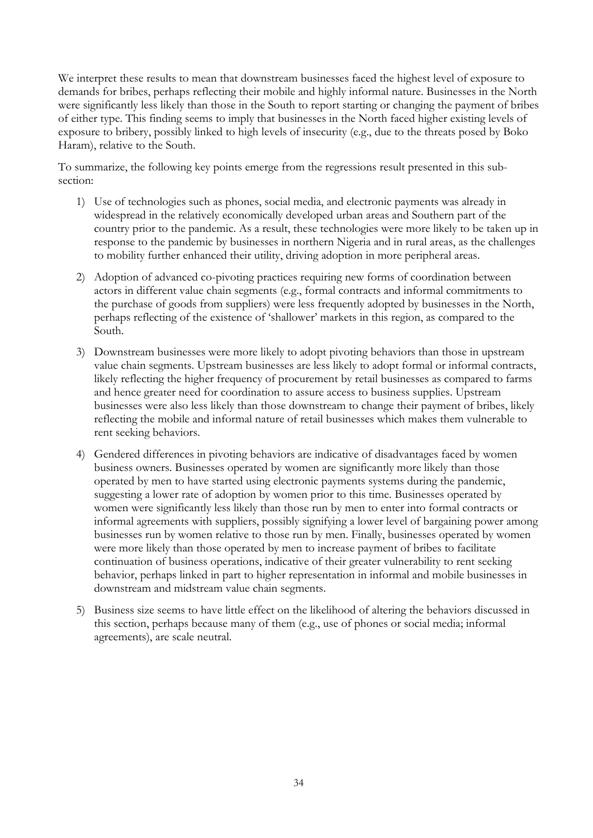We interpret these results to mean that downstream businesses faced the highest level of exposure to demands for bribes, perhaps reflecting their mobile and highly informal nature. Businesses in the North were significantly less likely than those in the South to report starting or changing the payment of bribes of either type. This finding seems to imply that businesses in the North faced higher existing levels of exposure to bribery, possibly linked to high levels of insecurity (e.g., due to the threats posed by Boko Haram), relative to the South.

To summarize, the following key points emerge from the regressions result presented in this subsection:

- 1) Use of technologies such as phones, social media, and electronic payments was already in widespread in the relatively economically developed urban areas and Southern part of the country prior to the pandemic. As a result, these technologies were more likely to be taken up in response to the pandemic by businesses in northern Nigeria and in rural areas, as the challenges to mobility further enhanced their utility, driving adoption in more peripheral areas.
- 2) Adoption of advanced co-pivoting practices requiring new forms of coordination between actors in different value chain segments (e.g., formal contracts and informal commitments to the purchase of goods from suppliers) were less frequently adopted by businesses in the North, perhaps reflecting of the existence of 'shallower' markets in this region, as compared to the South.
- 3) Downstream businesses were more likely to adopt pivoting behaviors than those in upstream value chain segments. Upstream businesses are less likely to adopt formal or informal contracts, likely reflecting the higher frequency of procurement by retail businesses as compared to farms and hence greater need for coordination to assure access to business supplies. Upstream businesses were also less likely than those downstream to change their payment of bribes, likely reflecting the mobile and informal nature of retail businesses which makes them vulnerable to rent seeking behaviors.
- 4) Gendered differences in pivoting behaviors are indicative of disadvantages faced by women business owners. Businesses operated by women are significantly more likely than those operated by men to have started using electronic payments systems during the pandemic, suggesting a lower rate of adoption by women prior to this time. Businesses operated by women were significantly less likely than those run by men to enter into formal contracts or informal agreements with suppliers, possibly signifying a lower level of bargaining power among businesses run by women relative to those run by men. Finally, businesses operated by women were more likely than those operated by men to increase payment of bribes to facilitate continuation of business operations, indicative of their greater vulnerability to rent seeking behavior, perhaps linked in part to higher representation in informal and mobile businesses in downstream and midstream value chain segments.
- 5) Business size seems to have little effect on the likelihood of altering the behaviors discussed in this section, perhaps because many of them (e.g., use of phones or social media; informal agreements), are scale neutral.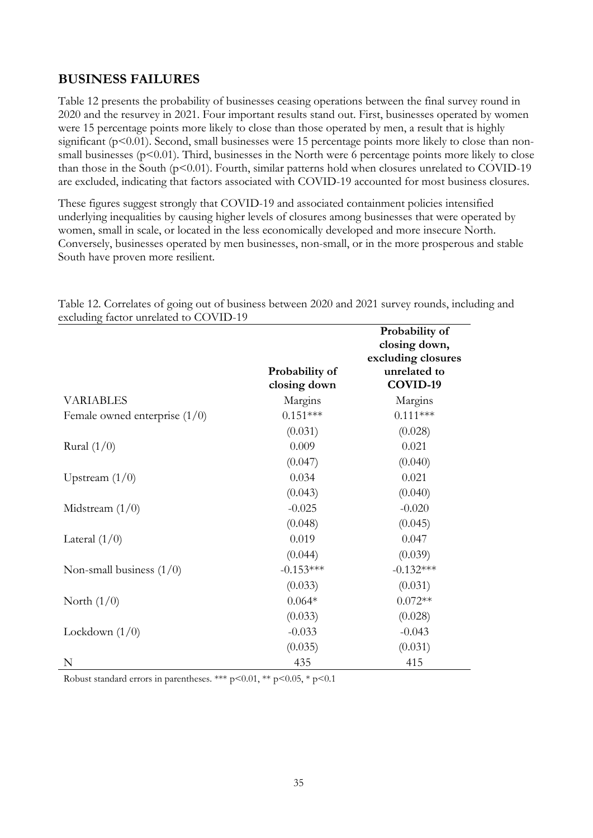### <span id="page-40-0"></span>**BUSINESS FAILURES**

Table 12 presents the probability of businesses ceasing operations between the final survey round in 2020 and the resurvey in 2021. Four important results stand out. First, businesses operated by women were 15 percentage points more likely to close than those operated by men, a result that is highly significant (p<0.01). Second, small businesses were 15 percentage points more likely to close than nonsmall businesses ( $p<0.01$ ). Third, businesses in the North were 6 percentage points more likely to close than those in the South ( $p$ <0.01). Fourth, similar patterns hold when closures unrelated to COVID-19 are excluded, indicating that factors associated with COVID-19 accounted for most business closures.

These figures suggest strongly that COVID-19 and associated containment policies intensified underlying inequalities by causing higher levels of closures among businesses that were operated by women, small in scale, or located in the less economically developed and more insecure North. Conversely, businesses operated by men businesses, non-small, or in the more prosperous and stable South have proven more resilient.

| exchange factor uniciated to COVID-19 |                                |                                                       |
|---------------------------------------|--------------------------------|-------------------------------------------------------|
|                                       |                                | Probability of<br>closing down,<br>excluding closures |
|                                       | Probability of<br>closing down | unrelated to<br>COVID-19                              |
| <b>VARIABLES</b>                      | Margins                        | Margins                                               |
| Female owned enterprise $(1/0)$       | $0.151***$                     | $0.111***$                                            |
|                                       | (0.031)                        | (0.028)                                               |
| Rural $(1/0)$                         | 0.009                          | 0.021                                                 |
|                                       | (0.047)                        | (0.040)                                               |
| Upstream $(1/0)$                      | 0.034                          | 0.021                                                 |
|                                       | (0.043)                        | (0.040)                                               |
| Midstream $(1/0)$                     | $-0.025$                       | $-0.020$                                              |
|                                       | (0.048)                        | (0.045)                                               |
| Lateral $(1/0)$                       | 0.019                          | 0.047                                                 |
|                                       | (0.044)                        | (0.039)                                               |
| Non-small business $(1/0)$            | $-0.153***$                    | $-0.132***$                                           |
|                                       | (0.033)                        | (0.031)                                               |
| North $(1/0)$                         | $0.064*$                       | $0.072**$                                             |
|                                       | (0.033)                        | (0.028)                                               |
| Lockdown $(1/0)$                      | $-0.033$                       | $-0.043$                                              |
|                                       | (0.035)                        | (0.031)                                               |
| N                                     | 435                            | 415                                                   |

Table 12. Correlates of going out of business between 2020 and 2021 survey rounds, including and excluding factor unrelated to COVID-19

Robust standard errors in parentheses. \*\*\*  $p<0.01$ , \*\*  $p<0.05$ , \*  $p<0.1$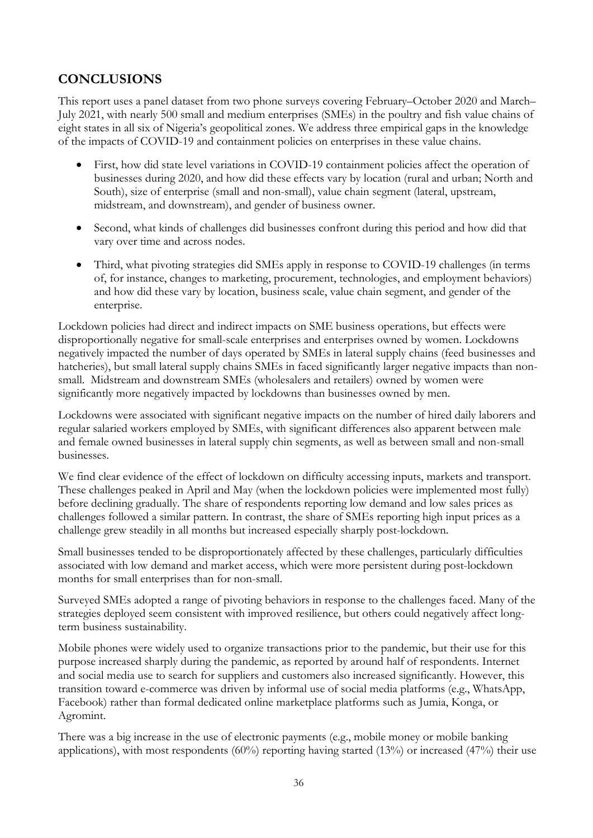### <span id="page-41-0"></span>**CONCLUSIONS**

This report uses a panel dataset from two phone surveys covering February–October 2020 and March– July 2021, with nearly 500 small and medium enterprises (SMEs) in the poultry and fish value chains of eight states in all six of Nigeria's geopolitical zones. We address three empirical gaps in the knowledge of the impacts of COVID-19 and containment policies on enterprises in these value chains.

- First, how did state level variations in COVID-19 containment policies affect the operation of businesses during 2020, and how did these effects vary by location (rural and urban; North and South), size of enterprise (small and non-small), value chain segment (lateral, upstream, midstream, and downstream), and gender of business owner.
- Second, what kinds of challenges did businesses confront during this period and how did that vary over time and across nodes.
- Third, what pivoting strategies did SMEs apply in response to COVID-19 challenges (in terms of, for instance, changes to marketing, procurement, technologies, and employment behaviors) and how did these vary by location, business scale, value chain segment, and gender of the enterprise.

Lockdown policies had direct and indirect impacts on SME business operations, but effects were disproportionally negative for small-scale enterprises and enterprises owned by women. Lockdowns negatively impacted the number of days operated by SMEs in lateral supply chains (feed businesses and hatcheries), but small lateral supply chains SMEs in faced significantly larger negative impacts than nonsmall. Midstream and downstream SMEs (wholesalers and retailers) owned by women were significantly more negatively impacted by lockdowns than businesses owned by men.

Lockdowns were associated with significant negative impacts on the number of hired daily laborers and regular salaried workers employed by SMEs, with significant differences also apparent between male and female owned businesses in lateral supply chin segments, as well as between small and non-small businesses.

We find clear evidence of the effect of lockdown on difficulty accessing inputs, markets and transport. These challenges peaked in April and May (when the lockdown policies were implemented most fully) before declining gradually. The share of respondents reporting low demand and low sales prices as challenges followed a similar pattern. In contrast, the share of SMEs reporting high input prices as a challenge grew steadily in all months but increased especially sharply post-lockdown.

Small businesses tended to be disproportionately affected by these challenges, particularly difficulties associated with low demand and market access, which were more persistent during post-lockdown months for small enterprises than for non-small.

Surveyed SMEs adopted a range of pivoting behaviors in response to the challenges faced. Many of the strategies deployed seem consistent with improved resilience, but others could negatively affect longterm business sustainability.

Mobile phones were widely used to organize transactions prior to the pandemic, but their use for this purpose increased sharply during the pandemic, as reported by around half of respondents. Internet and social media use to search for suppliers and customers also increased significantly. However, this transition toward e-commerce was driven by informal use of social media platforms (e.g., WhatsApp, Facebook) rather than formal dedicated online marketplace platforms such as Jumia, Konga, or Agromint.

There was a big increase in the use of electronic payments (e.g., mobile money or mobile banking applications), with most respondents  $(60\%)$  reporting having started  $(13\%)$  or increased  $(47\%)$  their use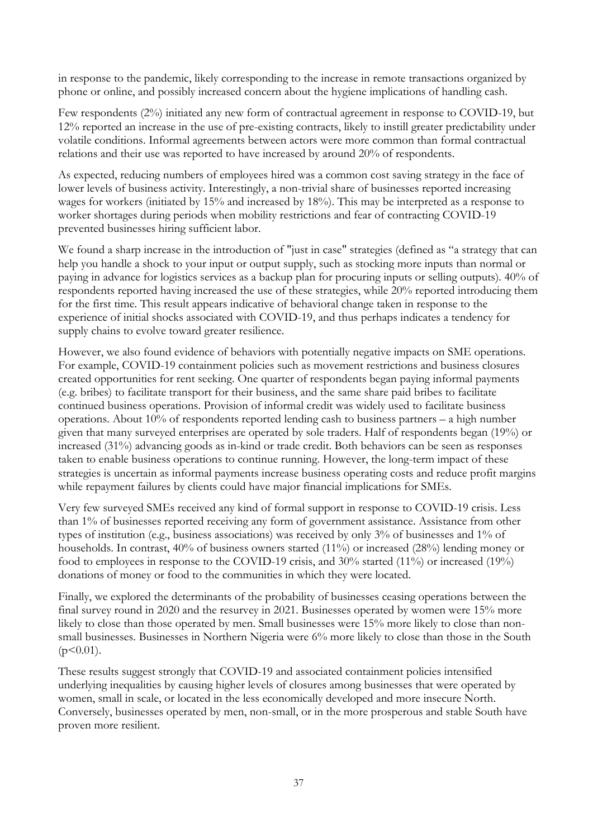in response to the pandemic, likely corresponding to the increase in remote transactions organized by phone or online, and possibly increased concern about the hygiene implications of handling cash.

Few respondents (2%) initiated any new form of contractual agreement in response to COVID-19, but 12% reported an increase in the use of pre-existing contracts, likely to instill greater predictability under volatile conditions. Informal agreements between actors were more common than formal contractual relations and their use was reported to have increased by around 20% of respondents.

As expected, reducing numbers of employees hired was a common cost saving strategy in the face of lower levels of business activity. Interestingly, a non-trivial share of businesses reported increasing wages for workers (initiated by 15% and increased by 18%). This may be interpreted as a response to worker shortages during periods when mobility restrictions and fear of contracting COVID-19 prevented businesses hiring sufficient labor.

We found a sharp increase in the introduction of "just in case" strategies (defined as "a strategy that can help you handle a shock to your input or output supply, such as stocking more inputs than normal or paying in advance for logistics services as a backup plan for procuring inputs or selling outputs). 40% of respondents reported having increased the use of these strategies, while 20% reported introducing them for the first time. This result appears indicative of behavioral change taken in response to the experience of initial shocks associated with COVID-19, and thus perhaps indicates a tendency for supply chains to evolve toward greater resilience.

However, we also found evidence of behaviors with potentially negative impacts on SME operations. For example, COVID-19 containment policies such as movement restrictions and business closures created opportunities for rent seeking. One quarter of respondents began paying informal payments (e.g. bribes) to facilitate transport for their business, and the same share paid bribes to facilitate continued business operations. Provision of informal credit was widely used to facilitate business operations. About 10% of respondents reported lending cash to business partners – a high number given that many surveyed enterprises are operated by sole traders. Half of respondents began (19%) or increased (31%) advancing goods as in-kind or trade credit. Both behaviors can be seen as responses taken to enable business operations to continue running. However, the long-term impact of these strategies is uncertain as informal payments increase business operating costs and reduce profit margins while repayment failures by clients could have major financial implications for SMEs.

Very few surveyed SMEs received any kind of formal support in response to COVID-19 crisis. Less than 1% of businesses reported receiving any form of government assistance. Assistance from other types of institution (e.g., business associations) was received by only 3% of businesses and 1% of households. In contrast, 40% of business owners started (11%) or increased (28%) lending money or food to employees in response to the COVID-19 crisis, and 30% started (11%) or increased (19%) donations of money or food to the communities in which they were located.

Finally, we explored the determinants of the probability of businesses ceasing operations between the final survey round in 2020 and the resurvey in 2021. Businesses operated by women were 15% more likely to close than those operated by men. Small businesses were 15% more likely to close than nonsmall businesses. Businesses in Northern Nigeria were 6% more likely to close than those in the South  $(p<0.01)$ .

These results suggest strongly that COVID-19 and associated containment policies intensified underlying inequalities by causing higher levels of closures among businesses that were operated by women, small in scale, or located in the less economically developed and more insecure North. Conversely, businesses operated by men, non-small, or in the more prosperous and stable South have proven more resilient.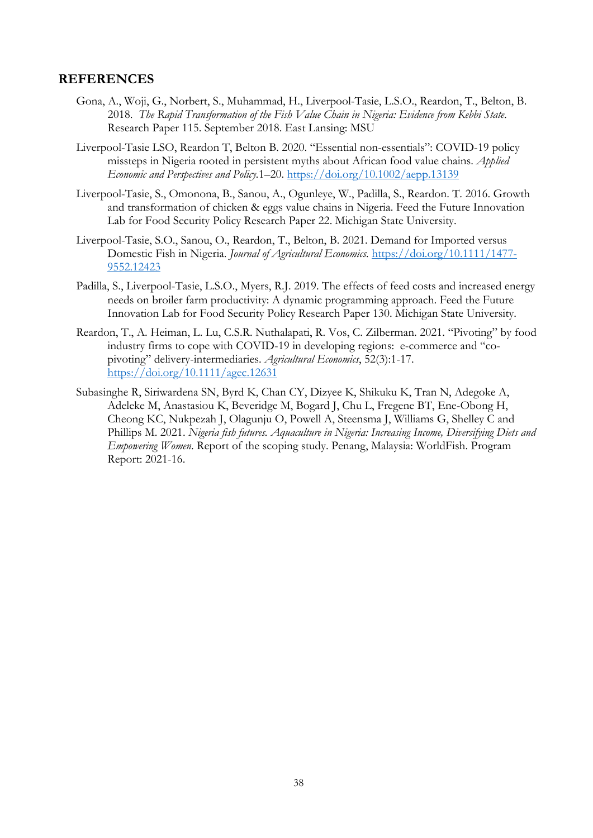#### <span id="page-43-0"></span>**REFERENCES**

- Gona, A., Woji, G., Norbert, S., Muhammad, H., Liverpool-Tasie, L.S.O., Reardon, T., Belton, B. 2018. *The Rapid Transformation of the Fish Value Chain in Nigeria: Evidence from Kebbi State*. Research Paper 115. September 2018. East Lansing: MSU
- Liverpool-Tasie LSO, Reardon T, Belton B. 2020. "Essential non-essentials": COVID-19 policy missteps in Nigeria rooted in persistent myths about African food value chains. *Applied Economic and Perspectives and Policy.*1–20.<https://doi.org/10.1002/aepp.13139>
- Liverpool-Tasie, S., Omonona, B., Sanou, A., Ogunleye, W., Padilla, S., Reardon. T. 2016. Growth and transformation of chicken & eggs value chains in Nigeria. Feed the Future Innovation Lab for Food Security Policy Research Paper 22. Michigan State University.
- Liverpool-Tasie, S.O., Sanou, O., Reardon, T., Belton, B. 2021. Demand for Imported versus Domestic Fish in Nigeria. *Journal of Agricultural Economics.* [https://doi.org/10.1111/1477-](https://doi.org/10.1111/1477-9552.12423) [9552.12423](https://doi.org/10.1111/1477-9552.12423)
- Padilla, S., Liverpool-Tasie, L.S.O., Myers, R.J. 2019. The effects of feed costs and increased energy needs on broiler farm productivity: A dynamic programming approach. Feed the Future Innovation Lab for Food Security Policy Research Paper 130. Michigan State University.
- Reardon, T., A. Heiman, L. Lu, C.S.R. Nuthalapati, R. Vos, C. Zilberman. 2021. "Pivoting" by food industry firms to cope with COVID-19 in developing regions: e-commerce and "copivoting" delivery-intermediaries. *Agricultural Economics*, 52(3):1-17. <https://doi.org/10.1111/agec.12631>
- Subasinghe R, Siriwardena SN, Byrd K, Chan CY, Dizyee K, Shikuku K, Tran N, Adegoke A, Adeleke M, Anastasiou K, Beveridge M, Bogard J, Chu L, Fregene BT, Ene-Obong H, Cheong KC, Nukpezah J, Olagunju O, Powell A, Steensma J, Williams G, Shelley C and Phillips M. 2021. *Nigeria fish futures. Aquaculture in Nigeria: Increasing Income, Diversifying Diets and Empowering Women*. Report of the scoping study. Penang, Malaysia: WorldFish. Program Report: 2021-16.